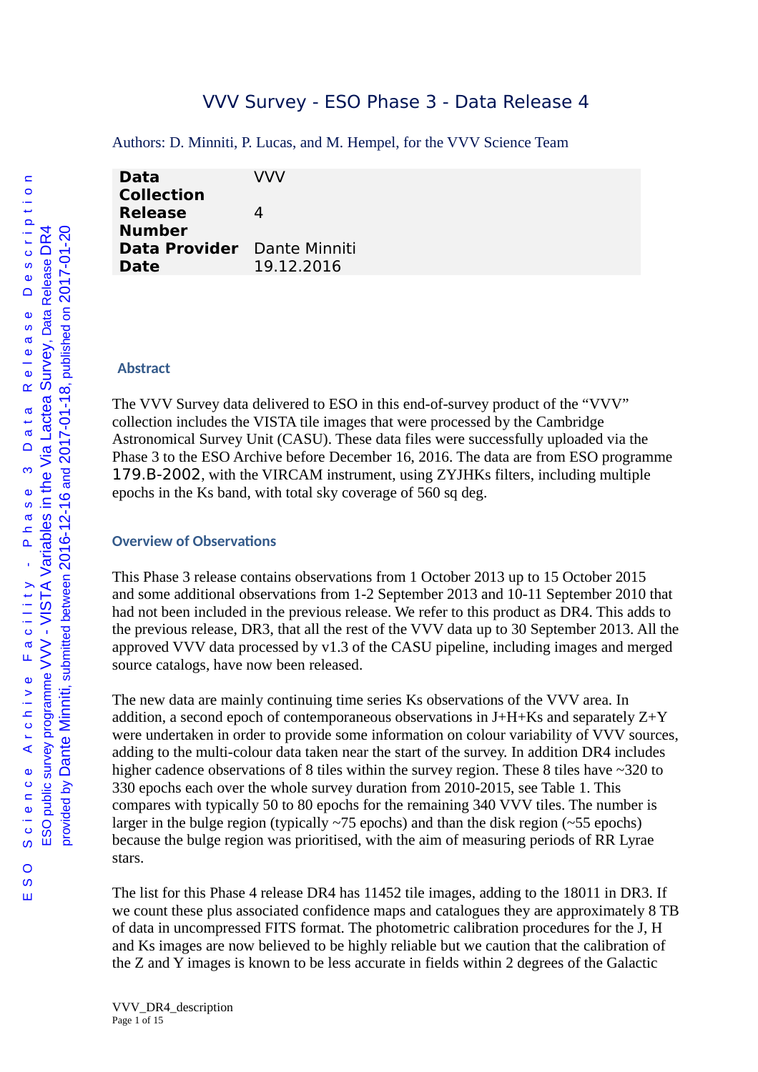# VVV Survey - ESO Phase 3 - Data Release 4

Authors: D. Minniti, P. Lucas, and M. Hempel, for the VVV Science Team

| <b>Data</b>          | VVV           |
|----------------------|---------------|
| <b>Collection</b>    |               |
| <b>Release</b>       | Δ             |
| <b>Number</b>        |               |
| <b>Data Provider</b> | Dante Minniti |
| <b>Date</b>          | 19.12.2016    |
|                      |               |

#### **Abstract**

The VVV Survey data delivered to ESO in this end-of-survey product of the "VVV" collection includes the VISTA tile images that were processed by the Cambridge Astronomical Survey Unit (CASU). These data files were successfully uploaded via the Phase 3 to the ESO Archive before December 16, 2016. The data are from ESO programme 179.B-2002, with the VIRCAM instrument, using ZYJHKs filters, including multiple epochs in the Ks band, with total sky coverage of 560 sq deg.

#### **Overview of Observations**

This Phase 3 release contains observations from 1 October 2013 up to 15 October 2015 and some additional observations from 1-2 September 2013 and 10-11 September 2010 that had not been included in the previous release. We refer to this product as DR4. This adds to the previous release, DR3, that all the rest of the VVV data up to 30 September 2013. All the approved VVV data processed by v1.3 of the CASU pipeline, including images and merged source catalogs, have now been released.

The new data are mainly continuing time series Ks observations of the VVV area. In addition, a second epoch of contemporaneous observations in  $J+H+Ks$  and separately  $Z+Y$ were undertaken in order to provide some information on colour variability of VVV sources, adding to the multi-colour data taken near the start of the survey. In addition DR4 includes higher cadence observations of 8 tiles within the survey region. These 8 tiles have ~320 to 330 epochs each over the whole survey duration from 2010-2015, see Table 1. This compares with typically 50 to 80 epochs for the remaining 340 VVV tiles. The number is larger in the bulge region (typically  $\sim$ 75 epochs) and than the disk region ( $\sim$ 55 epochs) because the bulge region was prioritised, with the aim of measuring periods of RR Lyrae stars.

The list for this Phase 4 release DR4 has 11452 tile images, adding to the 18011 in DR3. If we count these plus associated confidence maps and catalogues they are approximately 8 TB of data in uncompressed FITS format. The photometric calibration procedures for the J, H and Ks images are now believed to be highly reliable but we caution that the calibration of the Z and Y images is known to be less accurate in fields within 2 degrees of the Galactic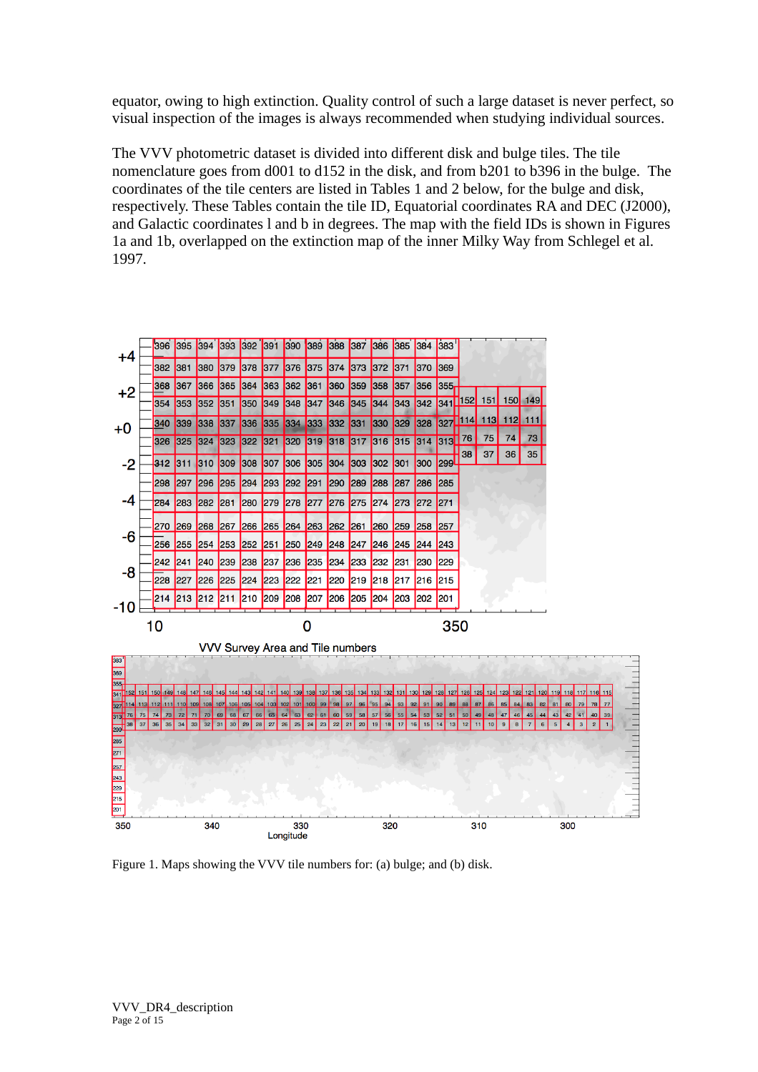equator, owing to high extinction. Quality control of such a large dataset is never perfect, so visual inspection of the images is always recommended when studying individual sources.

The VVV photometric dataset is divided into different disk and bulge tiles. The tile nomenclature goes from d001 to d152 in the disk, and from b201 to b396 in the bulge. The coordinates of the tile centers are listed in Tables 1 and 2 below, for the bulge and disk, respectively. These Tables contain the tile ID, Equatorial coordinates RA and DEC (J2000), and Galactic coordinates l and b in degrees. The map with the field IDs is shown in Figures 1a and 1b, overlapped on the extinction map of the inner Milky Way from Schlegel et al. 1997.



Figure 1. Maps showing the VVV tile numbers for: (a) bulge; and (b) disk.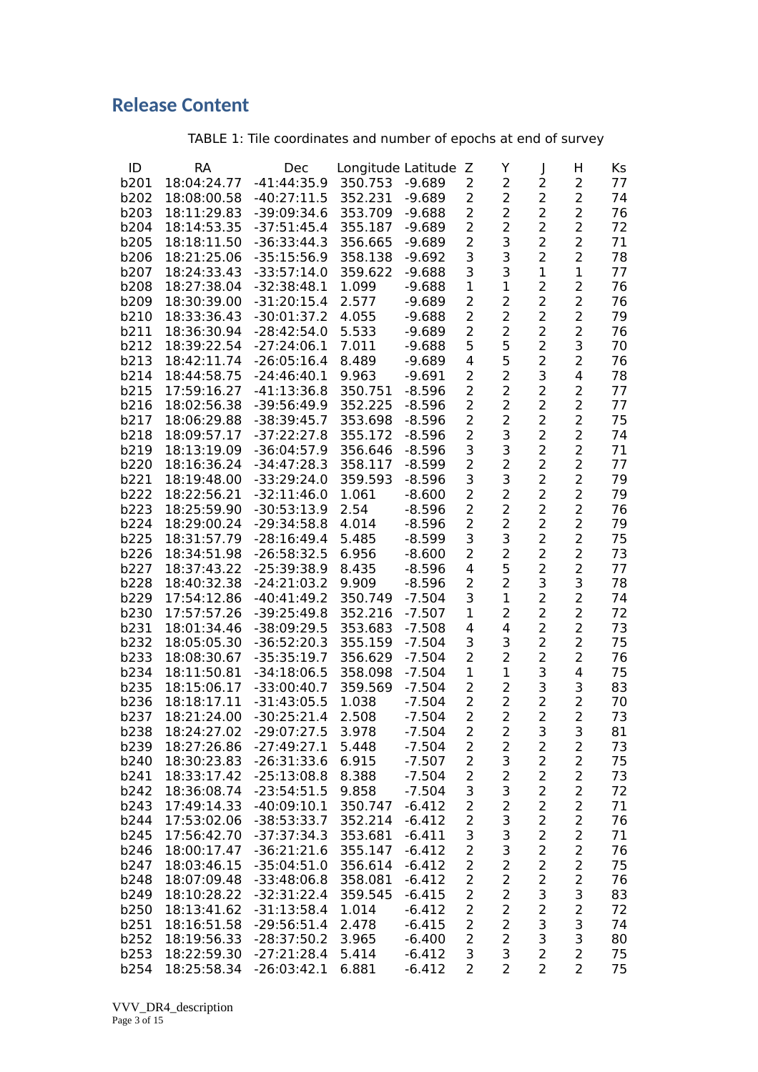# **Release Content**

# TABLE 1: Tile coordinates and number of epochs at end of survey

| ID   | RA          | Dec           | Longitude Latitude |          | Ζ              | Y                       |                         | н              | Ks |
|------|-------------|---------------|--------------------|----------|----------------|-------------------------|-------------------------|----------------|----|
| b201 | 18:04:24.77 | $-41:44:35.9$ | 350.753            | $-9.689$ | 2              | 2                       | 2                       | 2              | 77 |
| b202 | 18:08:00.58 |               |                    |          | $\overline{2}$ | $\overline{2}$          | $\overline{c}$          | 2              | 74 |
|      |             | $-40:27:11.5$ | 352.231            | $-9.689$ |                |                         |                         |                |    |
| b203 | 18:11:29.83 | -39:09:34.6   | 353.709            | $-9.688$ | $\overline{2}$ | $\overline{2}$          | $\overline{2}$          | $\overline{2}$ | 76 |
| b204 | 18:14:53.35 | $-37:51:45.4$ | 355.187            | $-9.689$ | $\overline{2}$ | $\overline{2}$          | $\overline{c}$          | $\overline{2}$ | 72 |
| b205 | 18:18:11.50 | $-36:33:44.3$ | 356.665            | $-9.689$ | $\overline{2}$ | 3                       | 2                       | 2              | 71 |
| b206 | 18:21:25.06 | $-35:15:56.9$ | 358.138            | $-9.692$ | 3              | 3                       | $\overline{2}$          | 2              | 78 |
| b207 | 18:24:33.43 | $-33:57:14.0$ | 359.622            | $-9.688$ | 3              | 3                       | $\mathbf 1$             | $\mathbf{1}$   | 77 |
| b208 | 18:27:38.04 | $-32:38:48.1$ | 1.099              | $-9.688$ | $\mathbf{1}$   | $\mathbf{1}$            | 2                       | $\overline{2}$ | 76 |
| b209 | 18:30:39.00 | $-31:20:15.4$ | 2.577              | $-9.689$ | $\overline{2}$ | 2                       | $\overline{2}$          | $\overline{c}$ | 76 |
|      |             |               |                    |          | $\overline{2}$ | $\overline{2}$          | 2                       | $\overline{2}$ |    |
| b210 | 18:33:36.43 | $-30:01:37.2$ | 4.055              | $-9.688$ |                |                         |                         |                | 79 |
| b211 | 18:36:30.94 | $-28:42:54.0$ | 5.533              | $-9.689$ | $\overline{2}$ | 2                       | 2                       | $\overline{2}$ | 76 |
| b212 | 18:39:22.54 | $-27:24:06.1$ | 7.011              | -9.688   | 5              | 5                       | 2                       | 3              | 70 |
| b213 | 18:42:11.74 | $-26:05:16.4$ | 8.489              | $-9.689$ | 4              | 5                       | $\overline{2}$          | 2              | 76 |
| b214 | 18:44:58.75 | $-24:46:40.1$ | 9.963              | $-9.691$ | $\overline{2}$ | $\overline{2}$          | 3                       | 4              | 78 |
| b215 | 17:59:16.27 | $-41:13:36.8$ | 350.751            | $-8.596$ | $\overline{2}$ | 2                       | 2                       | $\overline{2}$ | 77 |
| b216 | 18:02:56.38 | $-39:56:49.9$ | 352.225            | $-8.596$ | $\overline{2}$ | $\overline{2}$          | 2                       | $\overline{2}$ | 77 |
| b217 | 18:06:29.88 | $-38:39:45.7$ | 353.698            | $-8.596$ | $\overline{2}$ | $\overline{2}$          | $\overline{2}$          | $\overline{2}$ | 75 |
| b218 | 18:09:57.17 | $-37:22:27.8$ | 355.172            | $-8.596$ | $\overline{2}$ | 3                       | $\overline{2}$          | $\overline{2}$ | 74 |
|      |             |               |                    |          | 3              | 3                       | $\overline{2}$          | $\overline{2}$ |    |
| b219 | 18:13:19.09 | $-36:04:57.9$ | 356.646            | $-8.596$ |                |                         |                         |                | 71 |
| b220 | 18:16:36.24 | $-34:47:28.3$ | 358.117            | $-8.599$ | $\overline{2}$ | $\overline{2}$          | $\overline{2}$          | $\overline{2}$ | 77 |
| b221 | 18:19:48.00 | $-33:29:24.0$ | 359.593            | $-8.596$ | 3              | 3                       | 2                       | $\overline{2}$ | 79 |
| b222 | 18:22:56.21 | $-32:11:46.0$ | 1.061              | $-8.600$ | $\overline{2}$ | $\overline{2}$          | $\overline{2}$          | $\overline{2}$ | 79 |
| b223 | 18:25:59.90 | $-30:53:13.9$ | 2.54               | $-8.596$ | $\overline{2}$ | $\overline{2}$          | 2                       | 2              | 76 |
| b224 | 18:29:00.24 | $-29:34:58.8$ | 4.014              | $-8.596$ | $\overline{2}$ | 2                       | $\overline{2}$          | 2              | 79 |
| b225 | 18:31:57.79 | $-28:16:49.4$ | 5.485              | $-8.599$ | 3              | 3                       | $\overline{2}$          | $\overline{2}$ | 75 |
| b226 | 18:34:51.98 | $-26:58:32.5$ | 6.956              | $-8.600$ | $\overline{2}$ | $\overline{c}$          | $\overline{c}$          | $\overline{c}$ | 73 |
| b227 | 18:37:43.22 | $-25:39:38.9$ | 8.435              | -8.596   | 4              | 5                       | 2                       | $\overline{2}$ | 77 |
| b228 | 18:40:32.38 | $-24:21:03.2$ | 9.909              | $-8.596$ | $\overline{2}$ | $\overline{2}$          | 3                       | 3              | 78 |
|      |             |               |                    |          |                |                         |                         | $\overline{2}$ |    |
| b229 | 17:54:12.86 | $-40:41:49.2$ | 350.749            | $-7.504$ | 3              | 1                       | $\overline{a}$          |                | 74 |
| b230 | 17:57:57.26 | $-39:25:49.8$ | 352.216            | $-7.507$ | 1              | 2                       | 2                       | 2              | 72 |
| b231 | 18:01:34.46 | $-38:09:29.5$ | 353.683            | $-7.508$ | 4              | 4                       | 2                       | 2              | 73 |
| b232 | 18:05:05.30 | $-36:52:20.3$ | 355.159            | $-7.504$ | 3              | 3                       | 2                       | $\overline{2}$ | 75 |
| b233 | 18:08:30.67 | $-35:35:19.7$ | 356.629            | $-7.504$ | $\overline{2}$ | $\overline{2}$          | 2                       | 2              | 76 |
| b234 | 18:11:50.81 | $-34:18:06.5$ | 358.098            | $-7.504$ | $\mathbf{1}$   | 1                       | 3                       | 4              | 75 |
| b235 | 18:15:06.17 | $-33:00:40.7$ | 359.569            | $-7.504$ | $\overline{2}$ | $\overline{2}$          | 3                       | 3              | 83 |
| b236 | 18:18:17.11 | $-31:43:05.5$ | 1.038              | $-7.504$ | $\overline{2}$ | $\overline{2}$          | $\overline{2}$          | 2              | 70 |
| b237 | 18:21:24.00 | $-30:25:21.4$ | 2.508              | $-7.504$ | $\overline{2}$ | $\overline{2}$          | $\overline{2}$          | $\overline{2}$ | 73 |
| b238 | 18:24:27.02 | $-29:07:27.5$ | 3.978              | $-7.504$ | $\overline{a}$ | 2                       | 3                       | 3              | 81 |
|      | 18:27:26.86 | $-27:49:27.1$ | 5.448              | $-7.504$ |                |                         |                         | 2              | 73 |
| b239 |             |               |                    |          | 2              | 2                       | 2                       |                |    |
| b240 | 18:30:23.83 | $-26:31:33.6$ | 6.915              | $-7.507$ | $\overline{2}$ | 3                       | $\overline{2}$          | $\overline{2}$ | 75 |
| b241 | 18:33:17.42 | $-25:13:08.8$ | 8.388              | $-7.504$ | $\overline{2}$ | $\overline{c}$          | $\overline{2}$          | $\overline{c}$ | 73 |
| b242 | 18:36:08.74 | $-23:54:51.5$ | 9.858              | $-7.504$ | 3              | 3                       | $\overline{2}$          | $\overline{c}$ | 72 |
| b243 | 17:49:14.33 | $-40:09:10.1$ | 350.747            | $-6.412$ | $\overline{c}$ | $\overline{\mathbf{c}}$ | $\overline{c}$          | $\overline{c}$ | 71 |
| b244 | 17:53:02.06 | $-38:53:33.7$ | 352.214            | $-6.412$ | $\overline{c}$ | 3                       | $\overline{2}$          | $\overline{2}$ | 76 |
| b245 | 17:56:42.70 | $-37:37:34.3$ | 353.681            | $-6.411$ | 3              | 3                       | $\overline{2}$          | $\overline{c}$ | 71 |
| b246 | 18:00:17.47 | $-36:21:21.6$ | 355.147            | $-6.412$ | $\overline{2}$ | 3                       | 2                       | $\overline{2}$ | 76 |
| b247 | 18:03:46.15 | $-35:04:51.0$ | 356.614            | $-6.412$ | $\overline{2}$ | $\overline{2}$          | 2                       | $\overline{2}$ | 75 |
| b248 | 18:07:09.48 | $-33:48:06.8$ | 358.081            | $-6.412$ | $\overline{2}$ | 2                       | $\overline{\mathbf{c}}$ | $\overline{c}$ | 76 |
| b249 | 18:10:28.22 | $-32:31:22.4$ | 359.545            | $-6.415$ | $\overline{2}$ | 2                       | 3                       | 3              | 83 |
|      |             |               |                    |          |                |                         | $\overline{2}$          |                |    |
| b250 | 18:13:41.62 | $-31:13:58.4$ | 1.014              | $-6.412$ | $\overline{2}$ | 2                       |                         | $\overline{c}$ | 72 |
| b251 | 18:16:51.58 | $-29:56:51.4$ | 2.478              | $-6.415$ | $\overline{2}$ | $\overline{2}$          | 3                       | $\frac{3}{3}$  | 74 |
| b252 | 18:19:56.33 | $-28:37:50.2$ | 3.965              | $-6.400$ | $\overline{2}$ | $\overline{c}$          | 3                       |                | 80 |
| b253 | 18:22:59.30 | $-27:21:28.4$ | 5.414              | $-6.412$ | 3              | 3                       | $\overline{2}$          | $\overline{2}$ | 75 |
| b254 | 18:25:58.34 | $-26:03:42.1$ | 6.881              | $-6.412$ | $\overline{2}$ | $\overline{2}$          | $\overline{2}$          | $\overline{2}$ | 75 |

VVV\_DR4\_description Page 3 of 15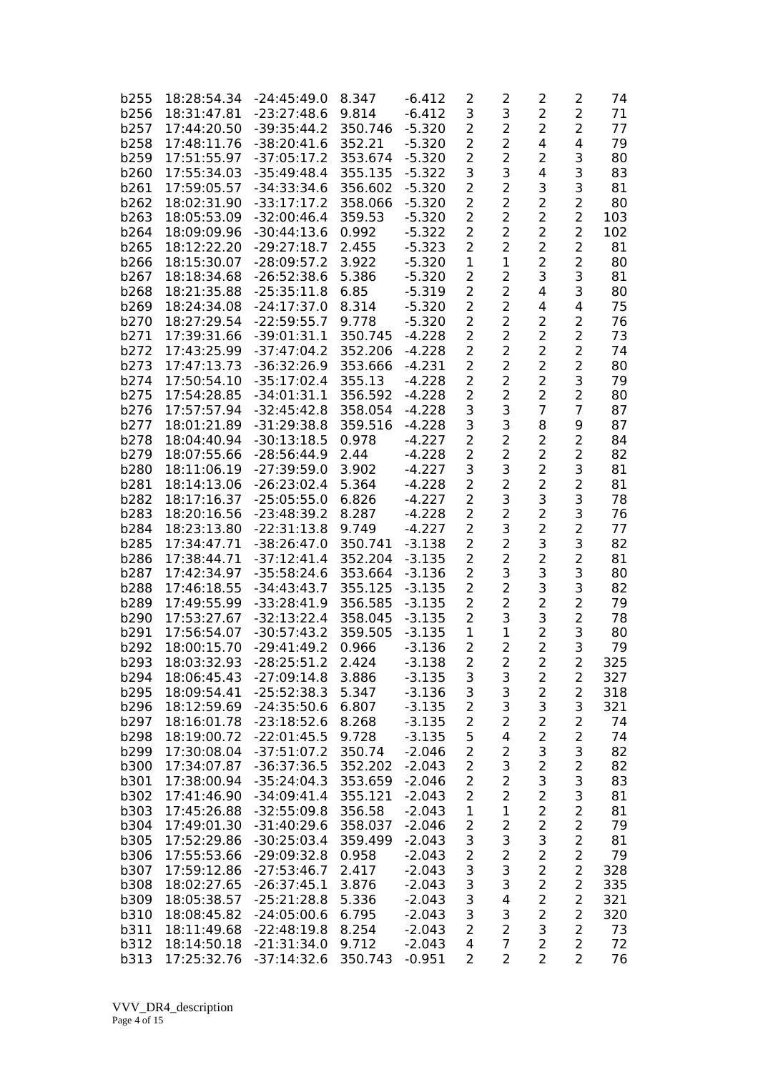| b255 | 18:28:54.34 | $-24:45:49.0$ | 8.347   | $-6.412$ | 2              | 2              | 2              | 2              | 74  |
|------|-------------|---------------|---------|----------|----------------|----------------|----------------|----------------|-----|
| b256 | 18:31:47.81 | $-23:27:48.6$ | 9.814   | $-6.412$ | 3              | 3              | 2              | $\overline{2}$ | 71  |
| b257 | 17:44:20.50 | $-39:35:44.2$ | 350.746 | $-5.320$ | 2              | 2              | 2              | $\overline{2}$ | 77  |
|      |             |               |         |          |                |                |                |                |     |
| b258 | 17:48:11.76 | $-38:20:41.6$ | 352.21  | $-5.320$ | $\overline{2}$ | $\overline{2}$ | 4              | 4              | 79  |
| b259 | 17:51:55.97 | $-37:05:17.2$ | 353.674 | $-5.320$ | $\overline{2}$ | $\overline{a}$ | 2              | 3              | 80  |
| b260 | 17:55:34.03 | $-35:49:48.4$ | 355.135 | $-5.322$ | 3              | 3              | 4              | 3              | 83  |
| b261 | 17:59:05.57 | $-34:33:34.6$ | 356.602 | $-5.320$ | $\overline{2}$ | $\overline{a}$ | 3              | 3              | 81  |
| b262 | 18:02:31.90 | $-33:17:17.2$ | 358.066 | $-5.320$ | $\overline{2}$ | $\overline{a}$ | 2              | $\overline{c}$ | 80  |
| b263 | 18:05:53.09 | $-32:00:46.4$ | 359.53  | $-5.320$ | 2              | $\overline{2}$ | 2              | $\overline{2}$ | 103 |
| b264 | 18:09:09.96 | $-30:44:13.6$ | 0.992   | $-5.322$ | 2              | $\overline{2}$ | 2              | $\overline{2}$ | 102 |
|      |             |               |         |          |                |                |                |                |     |
| b265 | 18:12:22.20 | $-29:27:18.7$ | 2.455   | $-5.323$ | $\overline{2}$ | $\overline{2}$ | 2              | $\overline{2}$ | 81  |
| b266 | 18:15:30.07 | $-28:09:57.2$ | 3.922   | $-5.320$ | $\mathbf 1$    | $\mathbf{1}$   | 2              | 2              | 80  |
| b267 | 18:18:34.68 | $-26:52:38.6$ | 5.386   | $-5.320$ | $\overline{2}$ | 2              | 3              | 3              | 81  |
| b268 | 18:21:35.88 | $-25:35:11.8$ | 6.85    | $-5.319$ | 2              | 2              | 4              | 3              | 80  |
| b269 | 18:24:34.08 | $-24:17:37.0$ | 8.314   | $-5.320$ | 2              | 2              | 4              | 4              | 75  |
| b270 | 18:27:29.54 | $-22:59:55.7$ | 9.778   | $-5.320$ | $\overline{2}$ | $\overline{2}$ | $\overline{2}$ | $\overline{2}$ | 76  |
| b271 | 17:39:31.66 | $-39:01:31.1$ | 350.745 | $-4.228$ | $\overline{2}$ | $\overline{2}$ | 2              | $\overline{c}$ | 73  |
| b272 | 17:43:25.99 | $-37:47:04.2$ | 352.206 | $-4.228$ | 2              | $\overline{a}$ | $\overline{2}$ | $\overline{2}$ | 74  |
|      |             |               |         |          |                |                |                |                |     |
| b273 | 17:47:13.73 | $-36:32:26.9$ | 353.666 | $-4.231$ | $\overline{2}$ | $\overline{2}$ | 2              | $\overline{2}$ | 80  |
| b274 | 17:50:54.10 | $-35:17:02.4$ | 355.13  | $-4.228$ | 2              | $\overline{2}$ | $\overline{2}$ | 3              | 79  |
| b275 | 17:54:28.85 | $-34:01:31.1$ | 356.592 | $-4.228$ | $\overline{2}$ | $\overline{a}$ | 2              | $\overline{2}$ | 80  |
| b276 | 17:57:57.94 | $-32:45:42.8$ | 358.054 | $-4.228$ | 3              | 3              | 7              | $\overline{7}$ | 87  |
| b277 | 18:01:21.89 | $-31:29:38.8$ | 359.516 | $-4.228$ | 3              | 3              | 8              | 9              | 87  |
| b278 | 18:04:40.94 | $-30:13:18.5$ | 0.978   | $-4.227$ | $\overline{2}$ | 2              | 2              | $\overline{2}$ | 84  |
| b279 | 18:07:55.66 | $-28:56:44.9$ | 2.44    | $-4.228$ | $\overline{2}$ | $\overline{2}$ | $\overline{2}$ | $\overline{c}$ | 82  |
|      |             |               |         |          |                |                |                |                |     |
| b280 | 18:11:06.19 | $-27:39:59.0$ | 3.902   | $-4.227$ | 3              | 3              | 2              | 3              | 81  |
| b281 | 18:14:13.06 | $-26:23:02.4$ | 5.364   | -4.228   | 2              | $\overline{2}$ | 2              | $\overline{2}$ | 81  |
| b282 | 18:17:16.37 | $-25:05:55.0$ | 6.826   | -4.227   | $\overline{2}$ | 3              | 3              | 3              | 78  |
| b283 | 18:20:16.56 | $-23:48:39.2$ | 8.287   | -4.228   | 2              | 2              | 2              | 3              | 76  |
| b284 | 18:23:13.80 | $-22:31:13.8$ | 9.749   | $-4.227$ | 2              | 3              | 2              | $\overline{a}$ | 77  |
| b285 | 17:34:47.71 | $-38:26:47.0$ | 350.741 | $-3.138$ | 2              | $\overline{a}$ | 3              | 3              | 82  |
| b286 | 17:38:44.71 | $-37:12:41.4$ | 352.204 | $-3.135$ | 2              | 2              | 2              | $\overline{2}$ | 81  |
| b287 | 17:42:34.97 | $-35:58:24.6$ | 353.664 | $-3.136$ | 2              | 3              | 3              | 3              | 80  |
|      |             |               |         |          |                | 2              |                | 3              |     |
| b288 | 17:46:18.55 | $-34:43:43.7$ | 355.125 | $-3.135$ | $\overline{2}$ |                | 3              |                | 82  |
| b289 | 17:49:55.99 | $-33:28:41.9$ | 356.585 | $-3.135$ | 2              | $\overline{a}$ | 2              | $\overline{2}$ | 79  |
| b290 | 17:53:27.67 | $-32:13:22.4$ | 358.045 | $-3.135$ | 2              | 3              | 3              | $\overline{2}$ | 78  |
| b291 | 17:56:54.07 | $-30:57:43.2$ | 359.505 | $-3.135$ | $\mathbf 1$    | $\mathbf{1}$   | 2              | 3              | 80  |
| b292 | 18:00:15.70 | $-29:41:49.2$ | 0.966   | $-3.136$ | 2              | $\overline{2}$ | $\overline{2}$ | 3              | 79  |
| b293 | 18:03:32.93 | $-28:25:51.2$ | 2.424   | $-3.138$ | $\overline{a}$ | $\overline{2}$ | $\overline{2}$ | $\overline{c}$ | 325 |
| b294 | 18:06:45.43 | $-27:09:14.8$ | 3.886   | $-3.135$ | 3              | 3              | 2              | 2              | 327 |
| b295 | 18:09:54.41 | $-25:52:38.3$ | 5.347   | $-3.136$ | 3              | 3              | 2              | $\overline{2}$ | 318 |
| b296 | 18:12:59.69 | $-24:35:50.6$ | 6.807   | $-3.135$ | $\overline{2}$ | 3              | 3              | 3              | 321 |
|      |             |               |         |          |                |                |                |                |     |
| b297 | 18:16:01.78 | $-23:18:52.6$ | 8.268   | $-3.135$ | $\overline{2}$ | $\overline{2}$ | 2              | $\overline{2}$ | 74  |
| b298 | 18:19:00.72 | $-22:01:45.5$ | 9.728   | $-3.135$ | 5              | 4              | $\overline{c}$ | $\overline{2}$ | 74  |
| b299 | 17:30:08.04 | $-37:51:07.2$ | 350.74  | $-2.046$ | 2              | $\overline{2}$ | 3              | 3              | 82  |
| b300 | 17:34:07.87 | $-36:37:36.5$ | 352.202 | $-2.043$ | $\overline{2}$ | 3              | $\overline{c}$ | $\overline{c}$ | 82  |
| b301 | 17:38:00.94 | $-35:24:04.3$ | 353.659 | $-2.046$ | 2              | $\overline{2}$ | 3              | 3              | 83  |
| b302 | 17:41:46.90 | $-34:09:41.4$ | 355.121 | $-2.043$ | $\overline{2}$ | $\overline{2}$ | 2              | 3              | 81  |
| b303 | 17:45:26.88 | $-32:55:09.8$ | 356.58  | $-2.043$ | $\mathbf 1$    | $\mathbf{1}$   | 2              | $\overline{2}$ | 81  |
|      |             |               |         |          |                |                |                |                |     |
| b304 | 17:49:01.30 | $-31:40:29.6$ | 358.037 | $-2.046$ | $\overline{c}$ | $\overline{c}$ | 2              | 2              | 79  |
| b305 | 17:52:29.86 | $-30:25:03.4$ | 359.499 | $-2.043$ | 3              | 3              | 3              | $\overline{a}$ | 81  |
| b306 | 17:55:53.66 | $-29:09:32.8$ | 0.958   | $-2.043$ | $\overline{c}$ | $\overline{c}$ | $\overline{2}$ | $\overline{2}$ | 79  |
| b307 | 17:59:12.86 | $-27:53:46.7$ | 2.417   | $-2.043$ | 3              | 3              | $\overline{c}$ | $\overline{2}$ | 328 |
| b308 | 18:02:27.65 | $-26:37:45.1$ | 3.876   | $-2.043$ | 3              | 3              | $\overline{2}$ | $\overline{2}$ | 335 |
| b309 | 18:05:38.57 | $-25:21:28.8$ | 5.336   | $-2.043$ | 3              | 4              | $\overline{2}$ | $\overline{2}$ | 321 |
| b310 | 18:08:45.82 | $-24:05:00.6$ | 6.795   | $-2.043$ | 3              | 3              | $\overline{2}$ | $\overline{2}$ | 320 |
| b311 | 18:11:49.68 | $-22:48:19.8$ | 8.254   | $-2.043$ | $\overline{2}$ | $\overline{2}$ | 3              | $\overline{a}$ | 73  |
|      |             |               |         |          |                |                |                |                |     |
| b312 | 18:14:50.18 | $-21:31:34.0$ | 9.712   | $-2.043$ | 4              | $\overline{7}$ | $\overline{2}$ | $\overline{2}$ | 72  |
| b313 | 17:25:32.76 | $-37:14:32.6$ | 350.743 | $-0.951$ | $\overline{2}$ | $\overline{2}$ | $\overline{2}$ | $\overline{2}$ | 76  |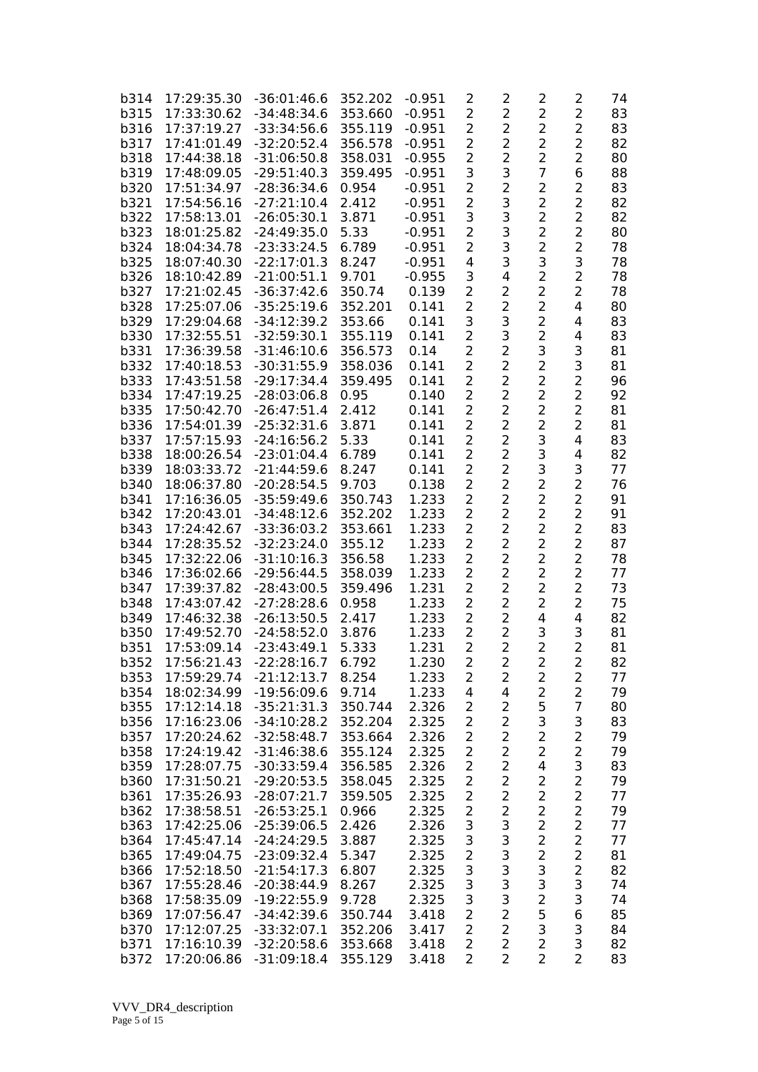| b314        | 17:29:35.30 | $-36:01:46.6$ | 352.202 | $-0.951$       | 2                       | 2                       | 2                   | 2              | 74       |
|-------------|-------------|---------------|---------|----------------|-------------------------|-------------------------|---------------------|----------------|----------|
| b315        | 17:33:30.62 | $-34:48:34.6$ | 353.660 | $-0.951$       | $\overline{2}$          | $\overline{2}$          | $\overline{2}$      | $\overline{2}$ | 83       |
| b316        | 17:37:19.27 | $-33:34:56.6$ | 355.119 | $-0.951$       | $\overline{2}$          | $\overline{2}$          | $\overline{2}$      | $\overline{2}$ | 83       |
| b317        | 17:41:01.49 | $-32:20:52.4$ | 356.578 | $-0.951$       | 2                       | $\overline{2}$          | $\overline{2}$      | $\overline{2}$ | 82       |
| b318        | 17:44:38.18 | $-31:06:50.8$ | 358.031 | $-0.955$       | $\overline{2}$          | $\overline{2}$          | $\overline{c}$      | 2              | 80       |
| b319        | 17:48:09.05 | $-29:51:40.3$ | 359.495 | $-0.951$       | 3                       | 3                       | $\overline{7}$      | 6              | 88       |
| b320        | 17:51:34.97 | $-28:36:34.6$ | 0.954   | $-0.951$       | $\overline{2}$          | 2                       | $\overline{2}$      | $\overline{2}$ | 83       |
| b321        | 17:54:56.16 | $-27:21:10.4$ | 2.412   | $-0.951$       | $\overline{2}$          | 3                       | $\overline{c}$      | $\overline{a}$ | 82       |
| b322        | 17:58:13.01 | $-26:05:30.1$ | 3.871   | $-0.951$       | 3                       | 3                       | $\overline{c}$      | $\overline{c}$ | 82       |
| b323        | 18:01:25.82 | $-24:49:35.0$ | 5.33    | $-0.951$       | $\overline{2}$          | 3                       | $\overline{c}$      | $\overline{a}$ | 80       |
| b324        | 18:04:34.78 | $-23:33:24.5$ | 6.789   | $-0.951$       | $\overline{2}$          | 3                       | $\overline{2}$      | $\overline{2}$ | 78       |
| b325        | 18:07:40.30 | $-22:17:01.3$ | 8.247   | $-0.951$       | 4                       | 3                       | 3                   | 3              | 78       |
| b326        | 18:10:42.89 | $-21:00:51.1$ | 9.701   | $-0.955$       | 3                       | 4                       | 2                   | $\overline{2}$ | 78       |
| b327        | 17:21:02.45 | $-36:37:42.6$ | 350.74  | 0.139          | $\overline{2}$          | $\overline{2}$          | $\overline{2}$      | $\overline{2}$ | 78       |
| b328        | 17:25:07.06 | $-35:25:19.6$ | 352.201 | 0.141          | 2                       | $\overline{2}$          | 2                   | 4              | 80       |
| b329        | 17:29:04.68 | $-34:12:39.2$ | 353.66  | 0.141          | 3                       | 3                       | 2                   | 4              | 83       |
| b330        | 17:32:55.51 | $-32:59:30.1$ | 355.119 | 0.141          | $\overline{2}$          | 3                       | 2                   | 4              | 83       |
| b331        | 17:36:39.58 | $-31:46:10.6$ | 356.573 | 0.14           | 2                       | $\overline{2}$          | 3                   | 3              | 81       |
| b332        | 17:40:18.53 | $-30:31:55.9$ | 358.036 | 0.141          | $\overline{2}$          | $\overline{2}$          | $\overline{2}$      | 3              | 81       |
| b333        | 17:43:51.58 | $-29:17:34.4$ | 359.495 | 0.141          | 2                       | 2                       | $\overline{c}$      | $\overline{a}$ | 96       |
| b334        | 17:47:19.25 | $-28:03:06.8$ | 0.95    | 0.140          | $\overline{2}$          | $\overline{2}$          | $\overline{2}$      | $\overline{2}$ | 92       |
| <b>b335</b> | 17:50:42.70 | $-26:47:51.4$ | 2.412   | 0.141          | $\overline{2}$          | $\overline{2}$          | $\overline{2}$      | $\overline{2}$ | 81       |
| b336        | 17:54:01.39 | $-25:32:31.6$ | 3.871   | 0.141          | $\overline{2}$          | $\overline{2}$          | $\overline{2}$      | $\overline{2}$ | 81       |
| b337        | 17:57:15.93 | $-24:16:56.2$ | 5.33    | 0.141          | $\overline{2}$          | $\overline{2}$          | 3                   | 4              | 83       |
| b338        | 18:00:26.54 | $-23:01:04.4$ | 6.789   | 0.141          | 2                       | $\overline{2}$          | 3                   | 4              | 82       |
| b339        | 18:03:33.72 | $-21:44:59.6$ | 8.247   | 0.141          | $\overline{2}$          | $\overline{2}$          | 3                   | 3              | 77       |
| b340        | 18:06:37.80 | $-20:28:54.5$ | 9.703   | 0.138          | $\overline{2}$          | $\overline{2}$          | $\overline{2}$      | $\overline{2}$ | 76       |
| b341        | 17:16:36.05 | $-35:59:49.6$ | 350.743 | 1.233          | $\overline{2}$          | $\overline{2}$          | $\overline{2}$      | $\overline{2}$ | 91       |
| b342        | 17:20:43.01 | $-34:48:12.6$ | 352.202 | 1.233          | 2                       | 2                       | 2                   | $\overline{2}$ | 91       |
| b343        | 17:24:42.67 | $-33:36:03.2$ | 353.661 | 1.233          | 2                       | $\overline{2}$          | 2                   | 2              | 83       |
| b344        | 17:28:35.52 | $-32:23:24.0$ | 355.12  | 1.233          | 2                       | 2                       | 2                   | 2              | 87       |
| b345        | 17:32:22.06 | $-31:10:16.3$ | 356.58  | 1.233          | 2                       | $\overline{2}$          | 2                   | 2              | 78       |
| b346        | 17:36:02.66 | $-29:56:44.5$ | 358.039 | 1.233          | 2                       | 2                       | 2                   | 2              | 77       |
| b347        | 17:39:37.82 | $-28:43:00.5$ | 359.496 |                |                         | 2                       |                     | $\overline{2}$ |          |
| b348        | 17:43:07.42 |               | 0.958   | 1.231<br>1.233 | 2<br>2                  | $\overline{2}$          | 2<br>$\overline{2}$ | $\overline{2}$ | 73<br>75 |
|             | 17:46:32.38 | $-27:28:28.6$ |         |                | $\overline{2}$          | $\overline{2}$          | 4                   | 4              |          |
| b349        |             | $-26:13:50.5$ | 2.417   | 1.233          |                         | $\overline{2}$          |                     |                | 82       |
| b350        | 17:49:52.70 | $-24:58:52.0$ | 3.876   | 1.233          | 2                       |                         | 3                   | 3              | 81       |
| b351        | 17:53:09.14 | $-23:43:49.1$ | 5.333   | 1.231          | 2                       | $\overline{2}$          | $\overline{c}$      | $\overline{2}$ | 81       |
| b352        | 17:56:21.43 | $-22:28:16.7$ | 6.792   | 1.230          | 2                       | 2                       | $\overline{2}$      | 2              | 82       |
| b353        | 17:59:29.74 | $-21:12:13.7$ | 8.254   | 1.233          | 2                       | 2                       | 2                   | 2              | 77       |
| b354        | 18:02:34.99 | $-19:56:09.6$ | 9.714   | 1.233          | 4                       | 4                       | $\overline{2}$      | $\overline{2}$ | 79       |
| b355        | 17:12:14.18 | $-35:21:31.3$ | 350.744 | 2.326          | 2                       | 2                       | 5                   | $\overline{7}$ | 80       |
| b356        | 17:16:23.06 | $-34:10:28.2$ | 352.204 | 2.325          | $\overline{2}$          | $\overline{2}$          | 3                   | 3              | 83       |
| b357        | 17:20:24.62 | $-32:58:48.7$ | 353.664 | 2.326          | 2                       | $\overline{c}$          | $\overline{c}$      | $\overline{2}$ | 79       |
| b358        | 17:24:19.42 | $-31:46:38.6$ | 355.124 | 2.325          | 2                       | $\overline{2}$          | 2                   | $\overline{c}$ | 79       |
| b359        | 17:28:07.75 | $-30:33:59.4$ | 356.585 | 2.326          | $\overline{c}$          | 2                       | 4                   | 3              | 83       |
| b360        | 17:31:50.21 | $-29:20:53.5$ | 358.045 | 2.325          | $\overline{2}$          | $\overline{2}$          | 2                   | $\overline{2}$ | 79       |
| b361        | 17:35:26.93 | $-28:07:21.7$ | 359.505 | 2.325          | 2                       | $\overline{2}$          | 2                   | $\overline{2}$ | 77       |
| b362        | 17:38:58.51 | $-26:53:25.1$ | 0.966   | 2.325          | $\overline{c}$          | $\overline{\mathbf{c}}$ | 2                   | $\overline{2}$ | 79       |
| b363        | 17:42:25.06 | $-25:39:06.5$ | 2.426   | 2.326          | 3                       | 3                       | $\overline{2}$      | $\overline{2}$ | 77       |
| b364        | 17:45:47.14 | $-24:24:29.5$ | 3.887   | 2.325          | 3                       | 3                       | $\overline{c}$      | $\overline{2}$ | 77       |
| b365        | 17:49:04.75 | $-23:09:32.4$ | 5.347   | 2.325          | $\overline{\mathbf{c}}$ | 3                       | $\overline{c}$      | $\overline{a}$ | 81       |
| b366        | 17:52:18.50 | $-21:54:17.3$ | 6.807   | 2.325          | 3                       | 3                       | 3                   | $\overline{c}$ | 82       |
| b367        | 17:55:28.46 | $-20:38:44.9$ | 8.267   | 2.325          | 3                       | 3                       | 3                   | 3              | 74       |
| b368        | 17:58:35.09 | $-19:22:55.9$ | 9.728   | 2.325          | 3                       | 3                       | $\overline{2}$      | 3              | 74       |
| b369        | 17:07:56.47 | $-34:42:39.6$ | 350.744 | 3.418          | $\overline{2}$          | $\overline{2}$          | 5                   | 6              | 85       |
| b370        | 17:12:07.25 | $-33:32:07.1$ | 352.206 | 3.417          | $\overline{2}$          | $\overline{2}$          | 3                   | 3              | 84       |
| b371        | 17:16:10.39 | $-32:20:58.6$ | 353.668 | 3.418          | $\overline{2}$          | $\overline{2}$          | $\overline{2}$      | 3              | 82       |
| b372        | 17:20:06.86 | $-31:09:18.4$ | 355.129 | 3.418          | $\overline{2}$          | $\overline{2}$          | 2                   | $\overline{2}$ | 83       |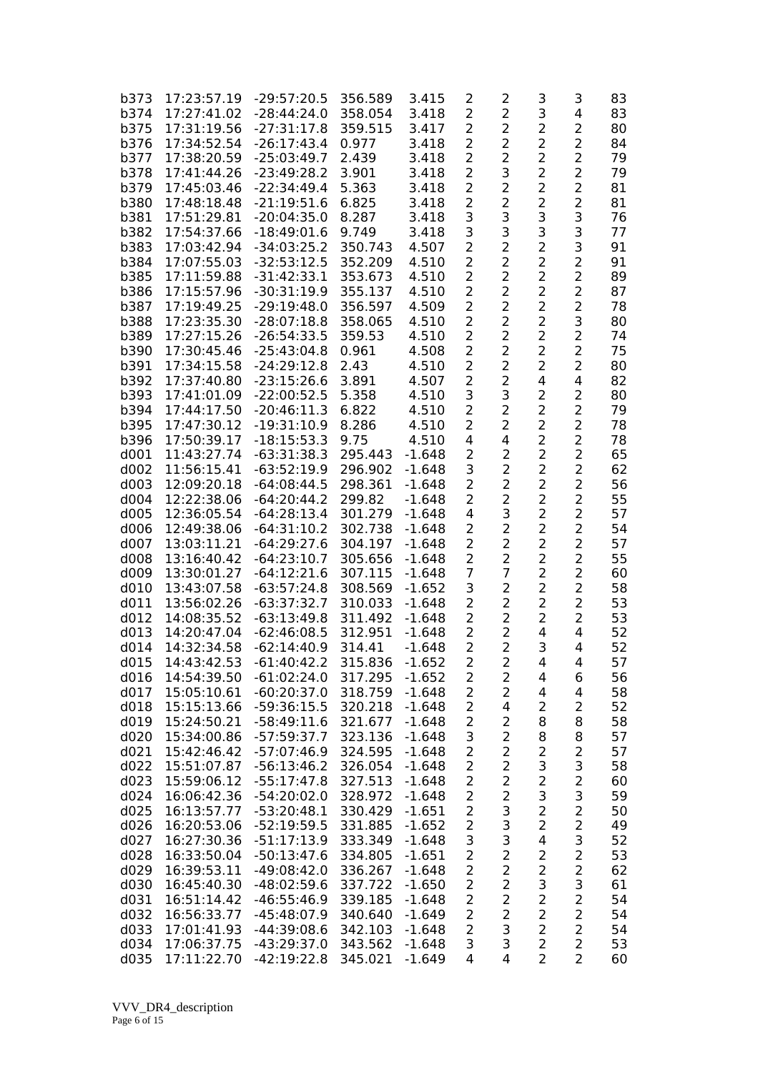| b373        | 17:23:57.19                | $-29:57:20.5$ | 356.589           | 3.415    | 2              | 2                   | 3                   | 3                                | 83 |
|-------------|----------------------------|---------------|-------------------|----------|----------------|---------------------|---------------------|----------------------------------|----|
| b374        | 17:27:41.02                | $-28:44:24.0$ | 358.054           | 3.418    | 2              | $\overline{2}$      | 3                   | 4                                | 83 |
| b375        | 17:31:19.56                | $-27:31:17.8$ | 359.515           | 3.417    | 2              | $\overline{2}$      | $\overline{2}$      | 2                                | 80 |
| b376        | 17:34:52.54                | $-26:17:43.4$ | 0.977             | 3.418    | $\overline{2}$ | $\overline{2}$      | $\overline{c}$      | $\overline{2}$                   | 84 |
| b377        | 17:38:20.59                | $-25:03:49.7$ | 2.439             | 3.418    | $\overline{2}$ | $\overline{2}$      | $\overline{2}$      | $\overline{2}$                   | 79 |
| b378        | 17:41:44.26                | $-23:49:28.2$ | 3.901             | 3.418    | $\overline{2}$ | 3                   | $\overline{2}$      | $\overline{2}$                   | 79 |
| b379        | 17:45:03.46                | $-22:34:49.4$ | 5.363             | 3.418    | $\overline{2}$ | $\overline{2}$      | $\overline{2}$      | $\overline{2}$                   | 81 |
| b380        | 17:48:18.48                | $-21:19:51.6$ | 6.825             | 3.418    | $\overline{2}$ | 2                   | $\overline{2}$      | $\overline{c}$                   | 81 |
| b381        | 17:51:29.81                | $-20:04:35.0$ | 8.287             | 3.418    | 3              | 3                   | 3                   | 3                                | 76 |
| b382        | 17:54:37.66                | $-18:49:01.6$ | 9.749             | 3.418    | 3              | 3                   | 3                   | 3                                | 77 |
| b383        | 17:03:42.94                | $-34:03:25.2$ | 350.743           | 4.507    | $\overline{2}$ | $\overline{2}$      | $\overline{c}$      | 3                                | 91 |
| b384        | 17:07:55.03                | $-32:53:12.5$ | 352.209           | 4.510    | $\overline{2}$ | $\overline{2}$      | $\overline{2}$      | $\overline{2}$                   | 91 |
| b385        | 17:11:59.88                | $-31:42:33.1$ | 353.673           | 4.510    | 2              | $\overline{2}$      | $\overline{2}$      | 2                                | 89 |
| b386        | 17:15:57.96                | $-30:31:19.9$ | 355.137           | 4.510    | 2              | 2                   | $\overline{2}$      | 2                                | 87 |
| b387        | 17:19:49.25                | $-29:19:48.0$ | 356.597           | 4.509    | 2              | 2                   | $\overline{2}$      | $\overline{c}$                   | 78 |
| <b>b388</b> | 17:23:35.30                | $-28:07:18.8$ | 358.065           | 4.510    | 2              | $\overline{2}$      | $\overline{2}$      | 3                                | 80 |
| b389        | 17:27:15.26                | $-26:54:33.5$ | 359.53            | 4.510    | 2              | $\overline{2}$      | $\overline{2}$      | $\overline{2}$                   | 74 |
| b390        | 17:30:45.46                | $-25:43:04.8$ | 0.961             | 4.508    | 2              | $\overline{2}$      | $\overline{2}$      | $\overline{2}$                   | 75 |
| b391        | 17:34:15.58                | $-24:29:12.8$ | 2.43              | 4.510    | 2              | $\overline{2}$      | 2                   | $\overline{2}$                   | 80 |
| b392        | 17:37:40.80                | $-23:15:26.6$ | 3.891             | 4.507    | $\overline{2}$ | $\overline{2}$      | 4                   | 4                                | 82 |
| b393        | 17:41:01.09                | $-22:00:52.5$ | 5.358             | 4.510    | 3              | 3                   | $\overline{2}$      | 2                                | 80 |
| b394        | 17:44:17.50                | $-20:46:11.3$ | 6.822             | 4.510    | $\overline{2}$ | $\overline{2}$      | $\overline{2}$      | $\overline{2}$                   | 79 |
| b395        | 17:47:30.12                | $-19:31:10.9$ | 8.286             | 4.510    | 2              | $\overline{2}$      | $\overline{2}$      | 2                                | 78 |
| b396        | 17:50:39.17                | $-18:15:53.3$ | 9.75              | 4.510    | 4              | 4                   | $\overline{2}$      | $\overline{2}$                   | 78 |
| d001        | 11:43:27.74                | $-63:31:38.3$ | 295.443           | $-1.648$ | $\overline{2}$ | 2                   | $\overline{2}$      | $\overline{2}$                   | 65 |
| d002        | 11:56:15.41                | $-63:52:19.9$ | 296.902           |          | 3              | 2                   | $\overline{2}$      | $\overline{a}$                   | 62 |
| d003        |                            | $-64:08:44.5$ |                   | $-1.648$ | 2              | $\overline{2}$      | 2                   | $\overline{a}$                   | 56 |
| d004        | 12:09:20.18<br>12:22:38.06 |               | 298.361<br>299.82 | $-1.648$ | 2              | $\overline{2}$      | $\overline{2}$      | $\overline{2}$                   |    |
|             |                            | $-64:20:44.2$ |                   | $-1.648$ |                | 3                   | 2                   | 2                                | 55 |
| d005        | 12:36:05.54                | $-64:28:13.4$ | 301.279           | $-1.648$ | 4              |                     |                     |                                  | 57 |
| d006        | 12:49:38.06                | $-64:31:10.2$ | 302.738           | $-1.648$ | 2              | $\overline{2}$      | $\overline{2}$<br>2 | 2<br>$\overline{2}$              | 54 |
| d007        | 13:03:11.21                | $-64:29:27.6$ | 304.197           | $-1.648$ | 2              | 2                   |                     |                                  | 57 |
| d008        | 13:16:40.42                | $-64:23:10.7$ | 305.656           | $-1.648$ | 2              | 2<br>7              | $\overline{2}$      | $\overline{2}$                   | 55 |
| d009        | 13:30:01.27                | $-64:12:21.6$ | 307.115           | $-1.648$ | 7              |                     | 2                   | $\overline{2}$                   | 60 |
| d010        | 13:43:07.58                | $-63:57:24.8$ | 308.569           | $-1.652$ | 3              | 2<br>$\overline{2}$ | $\overline{2}$      | $\overline{2}$<br>$\overline{2}$ | 58 |
| d011        | 13:56:02.26                | $-63:37:32.7$ | 310.033           | $-1.648$ | 2              |                     | $\overline{2}$      |                                  | 53 |
| d012        | 14:08:35.52                | $-63:13:49.8$ | 311.492           | $-1.648$ | $\overline{2}$ | $\overline{2}$      | 2                   | 2                                | 53 |
| d013        | 14:20:47.04                | $-62:46:08.5$ | 312.951           | $-1.648$ | 2              | 2                   | 4                   | 4                                | 52 |
| d014        | 14:32:34.58                | $-62:14:40.9$ | 314.41            | $-1.648$ | $\overline{2}$ | $\overline{2}$      | 3                   | 4                                | 52 |
| d015        | 14:43:42.53                | $-61:40:42.2$ | 315.836           | $-1.652$ | $\overline{c}$ | 2                   | 4                   | 4                                | 57 |
| d016        | 14:54:39.50                | $-61:02:24.0$ | 317.295           | $-1.652$ | 2              | 2                   | 4                   | 6                                | 56 |
| d017        | 15:05:10.61                | $-60:20:37.0$ | 318.759           | $-1.648$ | $\overline{2}$ | $\overline{2}$      | 4                   | 4                                | 58 |
| d018        | 15:15:13.66                | $-59:36:15.5$ | 320.218           | $-1.648$ | $\overline{2}$ | 4                   | $\overline{2}$      | $\overline{2}$                   | 52 |
| d019        | 15:24:50.21                | $-58:49:11.6$ | 321.677           | $-1.648$ | $\overline{2}$ | 2                   | 8                   | 8                                | 58 |
| d020        | 15:34:00.86                | $-57:59:37.7$ | 323.136           | $-1.648$ | 3              | $\overline{2}$      | 8                   | 8                                | 57 |
| d021        | 15:42:46.42                | $-57:07:46.9$ | 324.595           | $-1.648$ | 2              | $\overline{2}$      | $\mathbf 2$         | $\mathbf 2$                      | 57 |
| d022        | 15:51:07.87                | $-56:13:46.2$ | 326.054           | $-1.648$ | 2              | $\overline{2}$      | 3                   | 3                                | 58 |
| d023        | 15:59:06.12                | $-55:17:47.8$ | 327.513           | $-1.648$ | 2              | $\overline{2}$      | $\overline{c}$      | $\overline{2}$                   | 60 |
| d024        | 16:06:42.36                | $-54:20:02.0$ | 328.972           | $-1.648$ | 2              | 2                   | 3                   | 3                                | 59 |
| d025        | 16:13:57.77                | $-53:20:48.1$ | 330.429           | $-1.651$ | $\overline{c}$ | 3                   | $\overline{2}$      | $\overline{2}$                   | 50 |
| d026        | 16:20:53.06                | $-52:19:59.5$ | 331.885           | $-1.652$ | $\overline{c}$ | 3                   | $\overline{2}$      | $\overline{c}$                   | 49 |
| d027        | 16:27:30.36                | $-51:17:13.9$ | 333.349           | $-1.648$ | 3              | 3                   | 4                   | 3                                | 52 |
| d028        | 16:33:50.04                | $-50:13:47.6$ | 334.805           | $-1.651$ | $\overline{2}$ | $\overline{2}$      | $\overline{c}$      | $\overline{c}$                   | 53 |
| d029        | 16:39:53.11                | $-49:08:42.0$ | 336.267           | $-1.648$ | $\overline{c}$ | $\overline{2}$      | $\overline{2}$      | $\overline{a}$                   | 62 |
| d030        | 16:45:40.30                | -48:02:59.6   | 337.722           | $-1.650$ | $\overline{c}$ | $\overline{2}$      | 3                   | 3                                | 61 |
| d031        | 16:51:14.42                | $-46:55:46.9$ | 339.185           | $-1.648$ | 2              | $\overline{2}$      | $\overline{2}$      | $\overline{2}$                   | 54 |
| d032        | 16:56:33.77                | $-45:48:07.9$ | 340.640           | $-1.649$ | $\overline{c}$ | $\overline{c}$      | $\overline{a}$      | $\overline{2}$                   | 54 |
| d033        | 17:01:41.93                | $-44:39:08.6$ | 342.103           | $-1.648$ | 2              | 3                   | $\overline{2}$      | $\overline{2}$                   | 54 |
| d034        | 17:06:37.75                | $-43:29:37.0$ | 343.562           | $-1.648$ | 3              | 3                   | $\overline{2}$      | $\overline{2}$                   | 53 |
| d035        | 17:11:22.70                | $-42:19:22.8$ | 345.021           | $-1.649$ | 4              | 4                   | $\overline{2}$      | $\overline{2}$                   | 60 |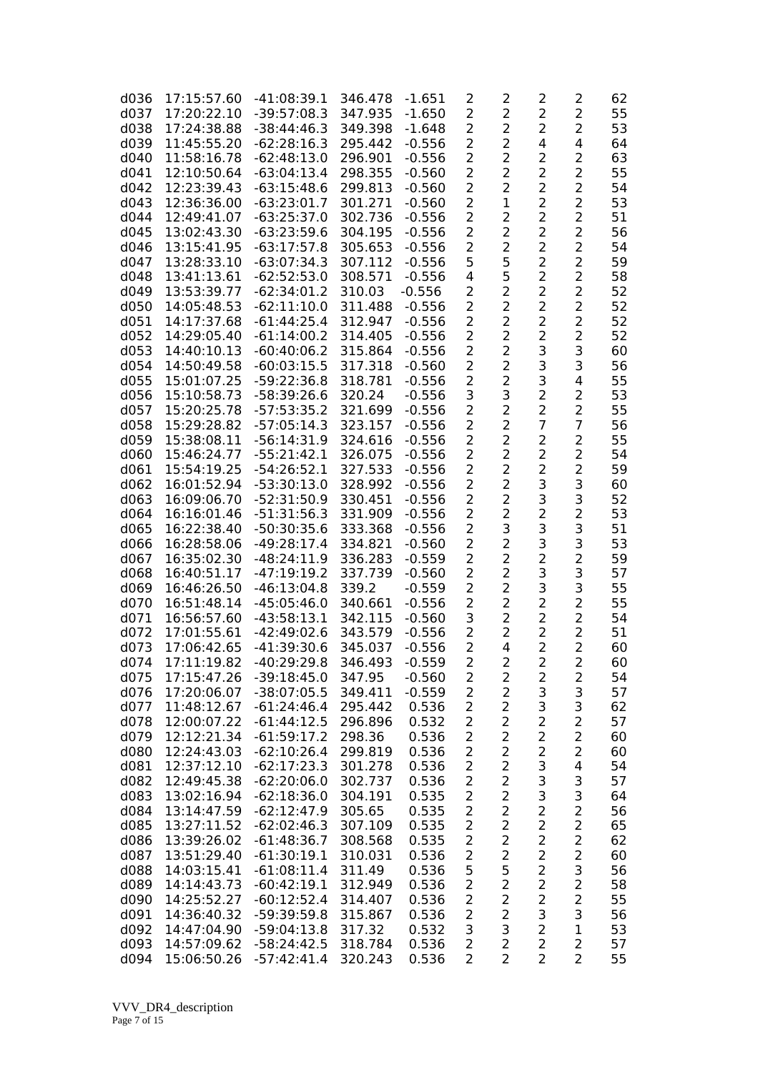| d036         | 17:15:57.60                | $-41:08:39.1$                  | 346.478            | $-1.651$             | $\overline{2}$                   | $\overline{2}$                   | 2                       | 2                                | 62       |
|--------------|----------------------------|--------------------------------|--------------------|----------------------|----------------------------------|----------------------------------|-------------------------|----------------------------------|----------|
| d037         | 17:20:22.10                | $-39:57:08.3$                  | 347.935            | $-1.650$             | $\overline{a}$                   | $\overline{2}$                   | $\overline{2}$          | $\overline{2}$                   | 55       |
| d038         | 17:24:38.88                | $-38:44:46.3$                  | 349.398            | $-1.648$             | 2                                | $\overline{2}$                   | 2                       | $\overline{2}$                   | 53       |
| d039         | 11:45:55.20                | $-62:28:16.3$                  | 295.442            | $-0.556$             | 2                                | $\overline{2}$                   | 4                       | 4                                | 64       |
| d040         | 11:58:16.78                | $-62:48:13.0$                  | 296.901            | $-0.556$             | $\overline{2}$                   | $\overline{2}$                   | $\overline{2}$          | $\overline{2}$                   | 63       |
| d041         | 12:10:50.64                | $-63:04:13.4$                  | 298.355            | $-0.560$             | $\overline{2}$                   | $\overline{2}$                   | 2                       | $\overline{2}$                   | 55       |
| d042         | 12:23:39.43                | $-63:15:48.6$                  | 299.813            | $-0.560$             | $\overline{2}$                   | $\overline{a}$                   | 2                       | $\overline{a}$                   | 54       |
| d043         | 12:36:36.00                | $-63:23:01.7$                  | 301.271            | $-0.560$             | $\overline{2}$                   | $\mathbf{1}$                     | $\overline{c}$          | $\overline{a}$                   | 53       |
| d044         | 12:49:41.07                | $-63:25:37.0$                  | 302.736            | $-0.556$             | $\overline{2}$                   | $\overline{2}$                   | 2                       | $\overline{2}$                   | 51       |
| d045         | 13:02:43.30                | $-63:23:59.6$                  | 304.195            | $-0.556$             | $\overline{2}$                   | $\overline{2}$                   | 2                       | $\overline{a}$                   | 56       |
| d046         | 13:15:41.95                | $-63:17:57.8$                  | 305.653            | $-0.556$             | 2                                | 2                                | 2                       | $\overline{2}$                   | 54       |
| d047         | 13:28:33.10                | $-63:07:34.3$                  | 307.112            | $-0.556$             | 5                                | 5                                | $\overline{2}$          | $\overline{2}$                   | 59       |
| d048         | 13:41:13.61                | $-62:52:53.0$                  | 308.571            | $-0.556$             | 4                                | 5                                | 2                       | $\overline{2}$                   | 58       |
| d049         | 13:53:39.77                | $-62:34:01.2$                  | 310.03             | $-0.556$             | $\overline{2}$                   | $\overline{2}$                   | 2                       | 2                                | 52       |
| d050         | 14:05:48.53                | $-62:11:10.0$                  | 311.488            | $-0.556$             | 2                                | 2                                | 2                       | $\overline{2}$                   | 52       |
| d051         | 14:17:37.68                | $-61:44:25.4$                  | 312.947            | $-0.556$             | $\overline{2}$                   | 2                                | 2                       | $\overline{2}$                   | 52       |
| d052         | 14:29:05.40                | $-61:14:00.2$                  | 314.405            | $-0.556$             | $\overline{2}$                   | $\overline{2}$                   | 2                       | $\overline{2}$                   | 52       |
| d053         | 14:40:10.13                | $-60:40:06.2$                  | 315.864            | $-0.556$             | $\overline{2}$                   | $\overline{a}$                   | 3                       | 3                                | 60       |
| d054         | 14:50:49.58                | $-60:03:15.5$                  | 317.318            | $-0.560$             | 2                                | $\overline{2}$                   | 3                       | 3                                | 56       |
| d055         | 15:01:07.25                | $-59:22:36.8$                  | 318.781            | $-0.556$             | $\overline{c}$                   | $\overline{2}$                   | 3                       | 4                                | 55       |
| d056         | 15:10:58.73                | $-58:39:26.6$                  | 320.24             | $-0.556$             | 3                                | 3                                | $\overline{2}$          | 2                                | 53       |
| d057         | 15:20:25.78                | $-57:53:35.2$                  | 321.699            | $-0.556$             | $\overline{2}$                   | $\overline{2}$                   | $\overline{2}$          | $\overline{2}$                   | 55       |
| d058         | 15:29:28.82                | $-57:05:14.3$                  | 323.157            | $-0.556$             | $\overline{2}$                   | $\overline{2}$                   | 7                       | $\overline{7}$                   | 56       |
| d059         | 15:38:08.11                | $-56:14:31.9$                  | 324.616            | $-0.556$             | $\overline{2}$                   | $\overline{2}$                   | $\overline{a}$          | $\overline{2}$                   | 55       |
| d060<br>d061 | 15:46:24.77<br>15:54:19.25 | $-55:21:42.1$                  | 326.075            | $-0.556$             | $\overline{2}$<br>$\overline{2}$ | $\overline{2}$<br>$\overline{a}$ | 2<br>$\overline{2}$     | $\overline{a}$<br>$\overline{2}$ | 54<br>59 |
| d062         | 16:01:52.94                | $-54:26:52.1$<br>$-53:30:13.0$ | 327.533<br>328.992 | $-0.556$<br>$-0.556$ | $\overline{2}$                   | $\overline{2}$                   | 3                       | 3                                | 60       |
|              |                            | $-52:31:50.9$                  |                    | $-0.556$             | 2                                | $\overline{2}$                   | 3                       | 3                                | 52       |
| d063<br>d064 | 16:09:06.70<br>16:16:01.46 | $-51:31:56.3$                  | 330.451<br>331.909 | $-0.556$             | $\overline{2}$                   | $\overline{2}$                   | $\overline{2}$          | $\overline{c}$                   | 53       |
| d065         | 16:22:38.40                | $-50:30:35.6$                  | 333.368            | $-0.556$             | 2                                | 3                                | 3                       | 3                                | 51       |
| d066         | 16:28:58.06                | $-49:28:17.4$                  | 334.821            | $-0.560$             | 2                                | $\overline{2}$                   | 3                       | 3                                | 53       |
| d067         | 16:35:02.30                | $-48:24:11.9$                  | 336.283            | $-0.559$             | $\overline{2}$                   | $\overline{a}$                   | 2                       | $\overline{a}$                   | 59       |
| d068         | 16:40:51.17                | $-47:19:19.2$                  | 337.739            | $-0.560$             | $\overline{2}$                   | $\overline{2}$                   | 3                       | 3                                | 57       |
| d069         | 16:46:26.50                | $-46:13:04.8$                  | 339.2              | $-0.559$             | $\overline{2}$                   | 2                                | 3                       | 3                                | 55       |
| d070         | 16:51:48.14                | $-45:05:46.0$                  | 340.661            | $-0.556$             | $\overline{2}$                   | $\overline{a}$                   | $\overline{a}$          | $\overline{a}$                   | 55       |
| d071         | 16:56:57.60                | $-43:58:13.1$                  | 342.115            | $-0.560$             | 3                                | $\overline{2}$                   | $\overline{a}$          | $\overline{a}$                   | 54       |
| d072         | 17:01:55.61                | $-42:49:02.6$                  | 343.579            | $-0.556$             | 2                                | $\overline{2}$                   | 2                       | $\overline{2}$                   | 51       |
| d073         | 17:06:42.65                | $-41:39:30.6$                  | 345.037            | $-0.556$             | 2                                | 4                                | $\overline{2}$          | 2                                | 60       |
| d074         | 17:11:19.82                | $-40:29:29.8$                  | 346.493            | $-0.559$             | 2                                | $\overline{2}$                   | 2                       | $\overline{c}$                   | 60       |
| d075         | 17:15:47.26                | $-39:18:45.0$                  | 347.95             | $-0.560$             | 2                                | $\overline{2}$                   | 2                       | 2                                | 54       |
| d076         | 17:20:06.07                | $-38:07:05.5$                  | 349.411            | $-0.559$             | $\overline{2}$                   | $\overline{2}$                   | 3                       | 3                                | 57       |
| d077         | 11:48:12.67                | $-61:24:46.4$                  | 295.442            | 0.536                | $\overline{2}$                   | 2                                | 3                       | 3                                | 62       |
| d078         | 12:00:07.22                | $-61:44:12.5$                  | 296.896            | 0.532                | $\overline{2}$                   | $\overline{2}$                   | 2                       | $\overline{2}$                   | 57       |
| d079         | 12:12:21.34                | $-61:59:17.2$                  | 298.36             | 0.536                | $\overline{2}$                   | $\overline{c}$                   | $\overline{c}$          | $\overline{2}$                   | 60       |
| d080         | 12:24:43.03                | $-62:10:26.4$                  | 299.819            | 0.536                | $\overline{2}$                   | $\overline{c}$                   | $\overline{2}$          | $\overline{2}$                   | 60       |
| d081         | 12:37:12.10                | $-62:17:23.3$                  | 301.278            | 0.536                | $\overline{2}$                   | $\overline{2}$                   | 3                       | 4                                | 54       |
| d082         | 12:49:45.38                | $-62:20:06.0$                  | 302.737            | 0.536                | $\overline{2}$                   | $\overline{2}$                   | 3                       | 3                                | 57       |
| d083         | 13:02:16.94                | $-62:18:36.0$                  | 304.191            | 0.535                | $\overline{2}$                   | $\overline{2}$                   | 3                       | 3                                | 64       |
| d084         | 13:14:47.59                | $-62:12:47.9$                  | 305.65             | 0.535                | $\overline{2}$                   | 2                                | $\overline{c}$          | $\overline{2}$                   | 56       |
| d085         | 13:27:11.52                | $-62:02:46.3$                  | 307.109            | 0.535                | $\overline{2}$                   | $\overline{2}$                   | 2                       | $\overline{2}$                   | 65       |
| d086         | 13:39:26.02                | $-61:48:36.7$                  | 308.568            | 0.535                | $\overline{2}$                   | $\overline{c}$                   | $\overline{c}$          | $\overline{2}$                   | 62       |
| d087         | 13:51:29.40                | $-61:30:19.1$                  | 310.031            | 0.536                | $\overline{2}$                   | $\overline{c}$                   | $\overline{c}$          | $\overline{2}$                   | 60       |
| d088         | 14:03:15.41                | $-61:08:11.4$                  | 311.49             | 0.536                | 5                                | 5                                | $\overline{\mathbf{c}}$ | 3                                | 56       |
| d089         | 14:14:43.73                | $-60:42:19.1$                  | 312.949            | 0.536                | $\overline{2}$                   | $\overline{2}$                   | $\overline{c}$          | $\overline{2}$                   | 58       |
| d090         | 14:25:52.27                | $-60:12:52.4$                  | 314.407            | 0.536                | $\overline{\mathbf{c}}$          | $\overline{c}$                   | $\overline{c}$          | $\overline{c}$                   | 55       |
| d091         | 14:36:40.32                | $-59:39:59.8$                  | 315.867            | 0.536                | $\overline{2}$                   | $\overline{2}$                   | 3                       | 3                                | 56       |
| d092         | 14:47:04.90                | $-59:04:13.8$                  | 317.32             | 0.532                | 3                                | 3                                | $\overline{2}$          | $\mathbf{1}$                     | 53       |
| d093         | 14:57:09.62                | $-58:24:42.5$                  | 318.784            | 0.536                | $\overline{2}$                   | $\overline{2}$                   | 2                       | $\overline{2}$                   | 57       |
| d094         | 15:06:50.26                | $-57:42:41.4$                  | 320.243            | 0.536                | 2                                | $\overline{2}$                   | $\overline{2}$          | $\overline{2}$                   | 55       |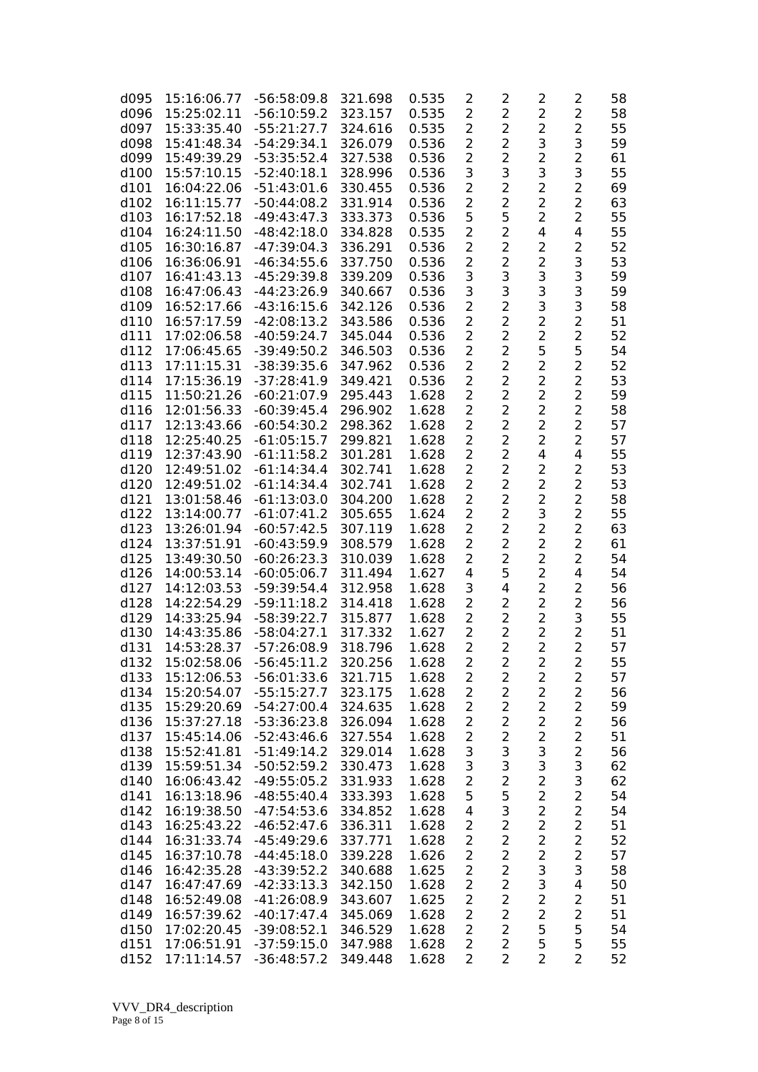| d095 | 15:16:06.77 | $-56:58:09.8$ | 321.698 | 0.535 | 2              | 2              | 2              | $\overline{\mathbf{c}}$ | 58 |
|------|-------------|---------------|---------|-------|----------------|----------------|----------------|-------------------------|----|
| d096 | 15:25:02.11 | $-56:10:59.2$ | 323.157 | 0.535 | $\overline{2}$ | $\overline{2}$ | $\overline{2}$ | $\overline{2}$          | 58 |
| d097 | 15:33:35.40 | $-55:21:27.7$ | 324.616 | 0.535 | 2              | $\overline{2}$ | 2              | $\overline{2}$          | 55 |
| d098 | 15:41:48.34 | $-54:29:34.1$ | 326.079 | 0.536 | $\overline{2}$ | $\overline{2}$ | 3              | 3                       | 59 |
| d099 | 15:49:39.29 | $-53:35:52.4$ | 327.538 | 0.536 | $\overline{2}$ | $\overline{2}$ | 2              | $\overline{a}$          | 61 |
|      |             |               | 328.996 |       |                | 3              |                |                         |    |
| d100 | 15:57:10.15 | $-52:40:18.1$ |         | 0.536 | 3              |                | 3              | 3                       | 55 |
| d101 | 16:04:22.06 | $-51:43:01.6$ | 330.455 | 0.536 | $\overline{c}$ | 2              | $\overline{c}$ | $\overline{c}$          | 69 |
| d102 | 16:11:15.77 | $-50:44:08.2$ | 331.914 | 0.536 | $\overline{c}$ | $\overline{c}$ | $\overline{c}$ | $\overline{c}$          | 63 |
| d103 | 16:17:52.18 | $-49:43:47.3$ | 333.373 | 0.536 | 5              | 5              | $\overline{2}$ | $\overline{c}$          | 55 |
| d104 | 16:24:11.50 | $-48:42:18.0$ | 334.828 | 0.535 | $\overline{2}$ | $\overline{2}$ | 4              | $\overline{\mathbf{4}}$ | 55 |
| d105 | 16:30:16.87 | $-47:39:04.3$ | 336.291 | 0.536 | $\overline{2}$ | $\overline{2}$ | $\overline{2}$ | $\overline{2}$          | 52 |
| d106 | 16:36:06.91 | $-46:34:55.6$ | 337.750 | 0.536 | $\overline{c}$ | $\overline{c}$ | $\overline{2}$ | 3                       | 53 |
| d107 | 16:41:43.13 | $-45:29:39.8$ | 339.209 | 0.536 | 3              | 3              | 3              | 3                       | 59 |
| d108 | 16:47:06.43 | $-44:23:26.9$ | 340.667 | 0.536 | 3              | 3              | 3              | 3                       | 59 |
| d109 | 16:52:17.66 | $-43:16:15.6$ | 342.126 | 0.536 | $\overline{2}$ | $\overline{2}$ | 3              | 3                       | 58 |
| d110 | 16:57:17.59 | $-42:08:13.2$ | 343.586 | 0.536 | $\overline{2}$ | 2              | $\overline{2}$ | $\overline{c}$          | 51 |
| d111 | 17:02:06.58 | $-40:59:24.7$ | 345.044 | 0.536 | $\overline{2}$ | $\overline{2}$ | $\overline{2}$ | $\overline{2}$          | 52 |
|      |             |               |         |       |                |                |                |                         |    |
| d112 | 17:06:45.65 | $-39:49:50.2$ | 346.503 | 0.536 | $\overline{2}$ | $\overline{2}$ | 5              | 5                       | 54 |
| d113 | 17:11:15.31 | $-38:39:35.6$ | 347.962 | 0.536 | $\overline{2}$ | $\overline{2}$ | $\overline{2}$ | $\overline{2}$          | 52 |
| d114 | 17:15:36.19 | $-37:28:41.9$ | 349.421 | 0.536 | $\overline{2}$ | $\overline{2}$ | 2              | $\overline{2}$          | 53 |
| d115 | 11:50:21.26 | $-60:21:07.9$ | 295.443 | 1.628 | $\overline{2}$ | $\overline{2}$ | $\overline{2}$ | $\overline{2}$          | 59 |
| d116 | 12:01:56.33 | $-60:39:45.4$ | 296.902 | 1.628 | $\overline{2}$ | $\overline{2}$ | $\overline{2}$ | $\overline{2}$          | 58 |
| d117 | 12:13:43.66 | $-60:54:30.2$ | 298.362 | 1.628 | $\overline{2}$ | $\overline{2}$ | $\overline{2}$ | $\overline{2}$          | 57 |
| d118 | 12:25:40.25 | $-61:05:15.7$ | 299.821 | 1.628 | $\overline{2}$ | $\overline{2}$ | $\overline{2}$ | $\overline{2}$          | 57 |
| d119 | 12:37:43.90 | $-61:11:58.2$ | 301.281 | 1.628 | $\overline{2}$ | $\overline{2}$ | 4              | 4                       | 55 |
| d120 | 12:49:51.02 | $-61:14:34.4$ | 302.741 | 1.628 | $\overline{2}$ | $\overline{2}$ | $\overline{2}$ | $\overline{2}$          | 53 |
| d120 | 12:49:51.02 | $-61:14:34.4$ | 302.741 | 1.628 | $\overline{2}$ | $\overline{2}$ | $\overline{2}$ | $\overline{2}$          | 53 |
|      |             |               |         |       |                |                |                |                         |    |
| d121 | 13:01:58.46 | $-61:13:03.0$ | 304.200 | 1.628 | $\overline{2}$ | $\overline{2}$ | $\overline{2}$ | $\overline{2}$          | 58 |
| d122 | 13:14:00.77 | $-61:07:41.2$ | 305.655 | 1.624 | 2              | $\overline{2}$ | 3              | $\overline{2}$          | 55 |
| d123 | 13:26:01.94 | $-60:57:42.5$ | 307.119 | 1.628 | 2              | $\overline{2}$ | 2              | 2                       | 63 |
| d124 | 13:37:51.91 | $-60:43:59.9$ | 308.579 | 1.628 | $\overline{2}$ | $\overline{2}$ | 2              | 2                       | 61 |
| d125 | 13:49:30.50 | $-60:26:23.3$ | 310.039 | 1.628 | $\overline{2}$ | 2              | 2              | $\overline{a}$          | 54 |
| d126 | 14:00:53.14 | $-60:05:06.7$ | 311.494 | 1.627 | 4              | 5              | 2              | 4                       | 54 |
| d127 | 14:12:03.53 | $-59:39:54.4$ | 312.958 | 1.628 | 3              | 4              | 2              | $\overline{c}$          | 56 |
| d128 | 14:22:54.29 | $-59:11:18.2$ | 314.418 | 1.628 | $\overline{2}$ | $\overline{2}$ | 2              | $\overline{a}$          | 56 |
| d129 | 14:33:25.94 | $-58:39:22.7$ | 315.877 | 1.628 | $\overline{2}$ | $\overline{2}$ | 2              | 3                       | 55 |
| d130 | 14:43:35.86 | $-58:04:27.1$ | 317.332 | 1.627 | 2              | $\overline{2}$ | $\overline{c}$ | $\overline{a}$          | 51 |
| d131 | 14:53:28.37 | $-57:26:08.9$ | 318.796 | 1.628 | 2              | $\overline{2}$ | $\overline{2}$ | $\overline{2}$          | 57 |
| d132 | 15:02:58.06 | $-56:45:11.2$ | 320.256 | 1.628 | 2              | $\overline{2}$ | 2              | $\overline{c}$          | 55 |
|      | 15:12:06.53 |               |         |       |                |                |                |                         |    |
| d133 |             | $-56:01:33.6$ | 321.715 | 1.628 | 2              | 2              | 2              | 2                       | 57 |
| d134 | 15:20:54.07 | $-55:15:27.7$ | 323.175 | 1.628 | $\overline{2}$ | $\overline{2}$ | $\overline{2}$ | $\overline{2}$          | 56 |
| d135 | 15:29:20.69 | $-54:27:00.4$ | 324.635 | 1.628 | $\overline{2}$ | 2              | $\overline{c}$ | $\overline{2}$          | 59 |
| d136 | 15:37:27.18 | $-53:36:23.8$ | 326.094 | 1.628 | $\overline{2}$ | $\overline{c}$ | 2              | $\overline{a}$          | 56 |
| d137 | 15:45:14.06 | $-52:43:46.6$ | 327.554 | 1.628 | $\overline{c}$ | $\overline{c}$ | $\overline{c}$ | $\overline{c}$          | 51 |
| d138 | 15:52:41.81 | $-51:49:14.2$ | 329.014 | 1.628 | 3              | 3              | 3              | $\overline{2}$          | 56 |
| d139 | 15:59:51.34 | $-50:52:59.2$ | 330.473 | 1.628 | 3              | 3              | 3              | 3                       | 62 |
| d140 | 16:06:43.42 | $-49:55:05.2$ | 331.933 | 1.628 | $\overline{2}$ | $\overline{c}$ | 2              | 3                       | 62 |
| d141 | 16:13:18.96 | $-48:55:40.4$ | 333.393 | 1.628 | 5              | 5              | 2              | $\overline{2}$          | 54 |
| d142 | 16:19:38.50 | $-47:54:53.6$ | 334.852 | 1.628 | 4              | 3              | 2              | $\overline{2}$          | 54 |
| d143 | 16:25:43.22 | $-46:52:47.6$ | 336.311 | 1.628 | $\overline{2}$ | $\overline{2}$ | 2              | $\overline{2}$          | 51 |
| d144 | 16:31:33.74 | $-45:49:29.6$ | 337.771 | 1.628 | $\overline{2}$ | 2              | 2              | $\overline{2}$          | 52 |
|      |             |               |         |       |                | $\overline{c}$ |                | $\overline{a}$          |    |
| d145 | 16:37:10.78 | $-44:45:18.0$ | 339.228 | 1.626 | $\overline{2}$ |                | $\overline{c}$ |                         | 57 |
| d146 | 16:42:35.28 | $-43:39:52.2$ | 340.688 | 1.625 | $\overline{2}$ | $\overline{c}$ | 3              | 3                       | 58 |
| d147 | 16:47:47.69 | $-42:33:13.3$ | 342.150 | 1.628 | $\overline{2}$ | $\overline{c}$ | 3              | $\overline{\mathbf{4}}$ | 50 |
| d148 | 16:52:49.08 | $-41:26:08.9$ | 343.607 | 1.625 | 2              | $\overline{2}$ | $\overline{c}$ | $\overline{c}$          | 51 |
| d149 | 16:57:39.62 | $-40:17:47.4$ | 345.069 | 1.628 | $\overline{2}$ | $\overline{2}$ | $\overline{c}$ | $\overline{2}$          | 51 |
| d150 | 17:02:20.45 | $-39:08:52.1$ | 346.529 | 1.628 | $\overline{2}$ | $\overline{2}$ | 5              | 5                       | 54 |
| d151 | 17:06:51.91 | $-37:59:15.0$ | 347.988 | 1.628 | $\overline{2}$ | $\overline{2}$ | 5              | 5                       | 55 |
| d152 | 17:11:14.57 | $-36:48:57.2$ | 349.448 | 1.628 | $\overline{2}$ | $\overline{2}$ | 2              | $\overline{2}$          | 52 |
|      |             |               |         |       |                |                |                |                         |    |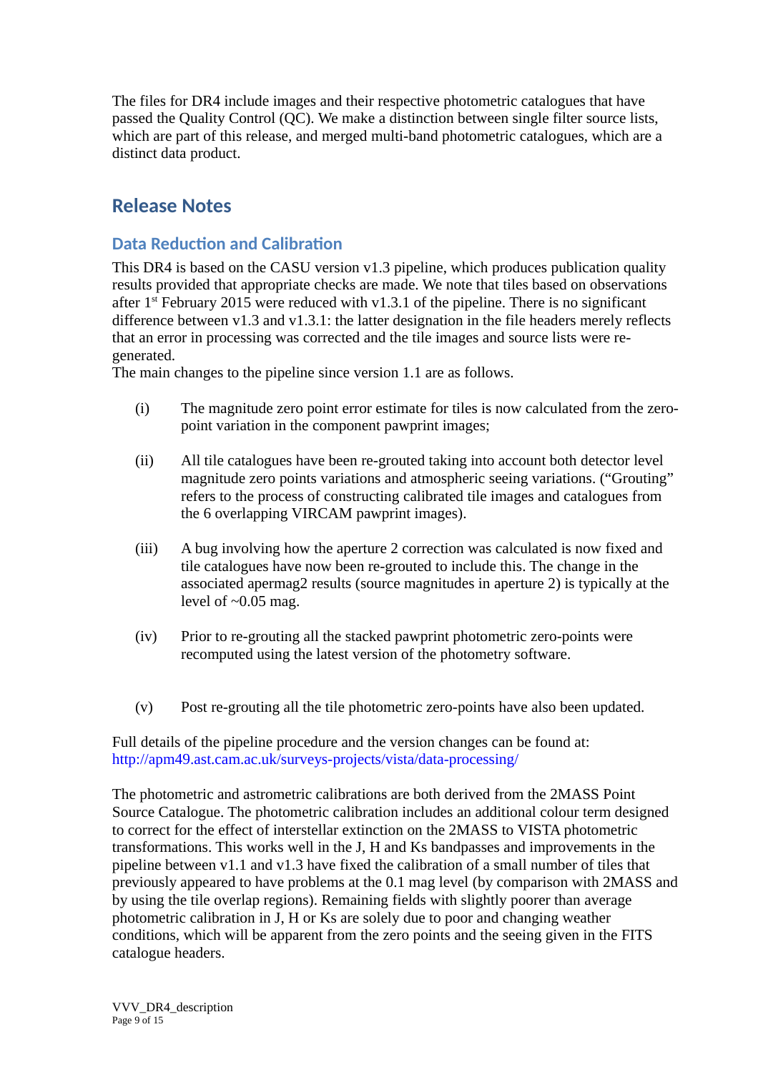The files for DR4 include images and their respective photometric catalogues that have passed the Quality Control (QC). We make a distinction between single filter source lists, which are part of this release, and merged multi-band photometric catalogues, which are a distinct data product.

# **Release Notes**

# **Data Reduction and Calibration**

This DR4 is based on the CASU version v1.3 pipeline, which produces publication quality results provided that appropriate checks are made. We note that tiles based on observations after  $1<sup>st</sup>$  February 2015 were reduced with v1.3.1 of the pipeline. There is no significant difference between v1.3 and v1.3.1: the latter designation in the file headers merely reflects that an error in processing was corrected and the tile images and source lists were regenerated.

The main changes to the pipeline since version 1.1 are as follows.

- (i) The magnitude zero point error estimate for tiles is now calculated from the zeropoint variation in the component pawprint images;
- (ii) All tile catalogues have been re-grouted taking into account both detector level magnitude zero points variations and atmospheric seeing variations. ("Grouting" refers to the process of constructing calibrated tile images and catalogues from the 6 overlapping VIRCAM pawprint images).
- (iii) A bug involving how the aperture 2 correction was calculated is now fixed and tile catalogues have now been re-grouted to include this. The change in the associated apermag2 results (source magnitudes in aperture 2) is typically at the level of  $\sim 0.05$  mag.
- (iv) Prior to re-grouting all the stacked pawprint photometric zero-points were recomputed using the latest version of the photometry software.
- (v) Post re-grouting all the tile photometric zero-points have also been updated.

Full details of the pipeline procedure and the version changes can be found at: http://apm49.ast.cam.ac.uk/surveys-projects/vista/data-processing/

The photometric and astrometric calibrations are both derived from the 2MASS Point Source Catalogue. The photometric calibration includes an additional colour term designed to correct for the effect of interstellar extinction on the 2MASS to VISTA photometric transformations. This works well in the J, H and Ks bandpasses and improvements in the pipeline between v1.1 and v1.3 have fixed the calibration of a small number of tiles that previously appeared to have problems at the 0.1 mag level (by comparison with 2MASS and by using the tile overlap regions). Remaining fields with slightly poorer than average photometric calibration in J, H or Ks are solely due to poor and changing weather conditions, which will be apparent from the zero points and the seeing given in the FITS catalogue headers.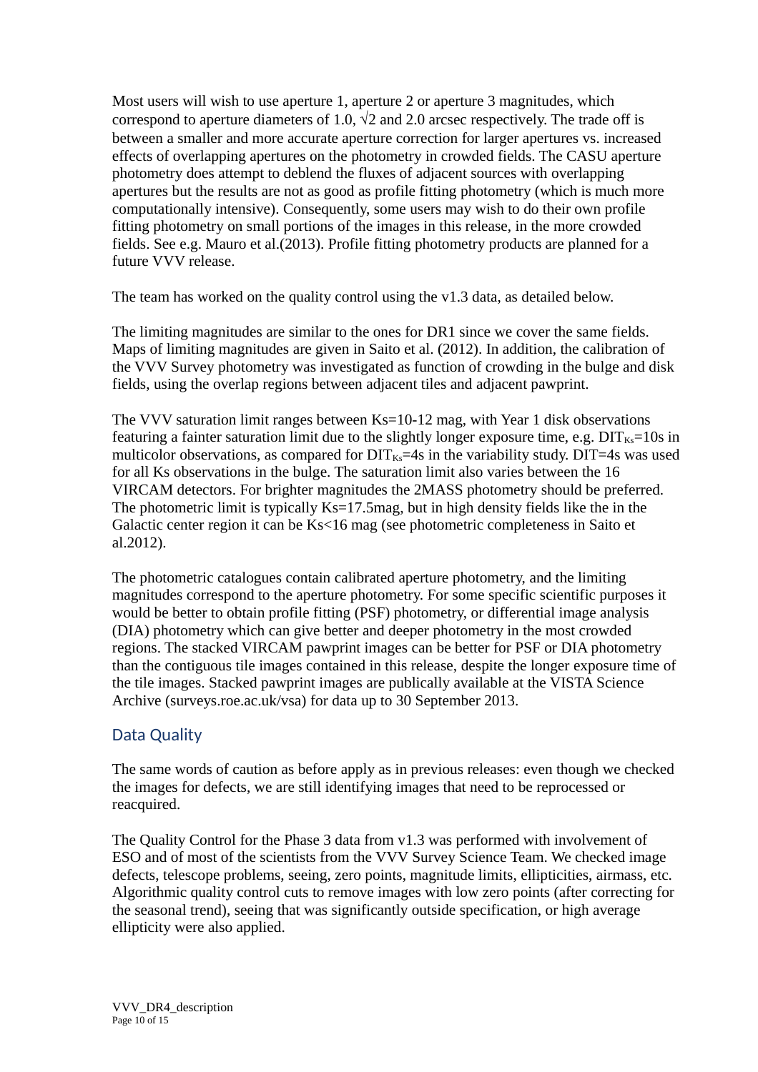Most users will wish to use aperture 1, aperture 2 or aperture 3 magnitudes, which correspond to aperture diameters of 1.0,  $\sqrt{2}$  and 2.0 arcsec respectively. The trade off is between a smaller and more accurate aperture correction for larger apertures vs. increased effects of overlapping apertures on the photometry in crowded fields. The CASU aperture photometry does attempt to deblend the fluxes of adjacent sources with overlapping apertures but the results are not as good as profile fitting photometry (which is much more computationally intensive). Consequently, some users may wish to do their own profile fitting photometry on small portions of the images in this release, in the more crowded fields. See e.g. Mauro et al.(2013). Profile fitting photometry products are planned for a future VVV release.

The team has worked on the quality control using the v1.3 data, as detailed below.

The limiting magnitudes are similar to the ones for DR1 since we cover the same fields. Maps of limiting magnitudes are given in Saito et al. (2012). In addition, the calibration of the VVV Survey photometry was investigated as function of crowding in the bulge and disk fields, using the overlap regions between adjacent tiles and adjacent pawprint.

The VVV saturation limit ranges between Ks=10-12 mag, with Year 1 disk observations featuring a fainter saturation limit due to the slightly longer exposure time, e.g.  $\text{DIT}_{\text{Ks}}=10$ s in multicolor observations, as compared for  $\text{DIT}_{Ks}=4s$  in the variability study.  $\text{DIT}=4s$  was used for all Ks observations in the bulge. The saturation limit also varies between the 16 VIRCAM detectors. For brighter magnitudes the 2MASS photometry should be preferred. The photometric limit is typically Ks=17.5mag, but in high density fields like the in the Galactic center region it can be Ks<16 mag (see photometric completeness in Saito et al.2012).

The photometric catalogues contain calibrated aperture photometry, and the limiting magnitudes correspond to the aperture photometry. For some specific scientific purposes it would be better to obtain profile fitting (PSF) photometry, or differential image analysis (DIA) photometry which can give better and deeper photometry in the most crowded regions. The stacked VIRCAM pawprint images can be better for PSF or DIA photometry than the contiguous tile images contained in this release, despite the longer exposure time of the tile images. Stacked pawprint images are publically available at the VISTA Science Archive (surveys.roe.ac.uk/vsa) for data up to 30 September 2013.

### Data Quality

The same words of caution as before apply as in previous releases: even though we checked the images for defects, we are still identifying images that need to be reprocessed or reacquired.

The Quality Control for the Phase 3 data from v1.3 was performed with involvement of ESO and of most of the scientists from the VVV Survey Science Team. We checked image defects, telescope problems, seeing, zero points, magnitude limits, ellipticities, airmass, etc. Algorithmic quality control cuts to remove images with low zero points (after correcting for the seasonal trend), seeing that was significantly outside specification, or high average ellipticity were also applied.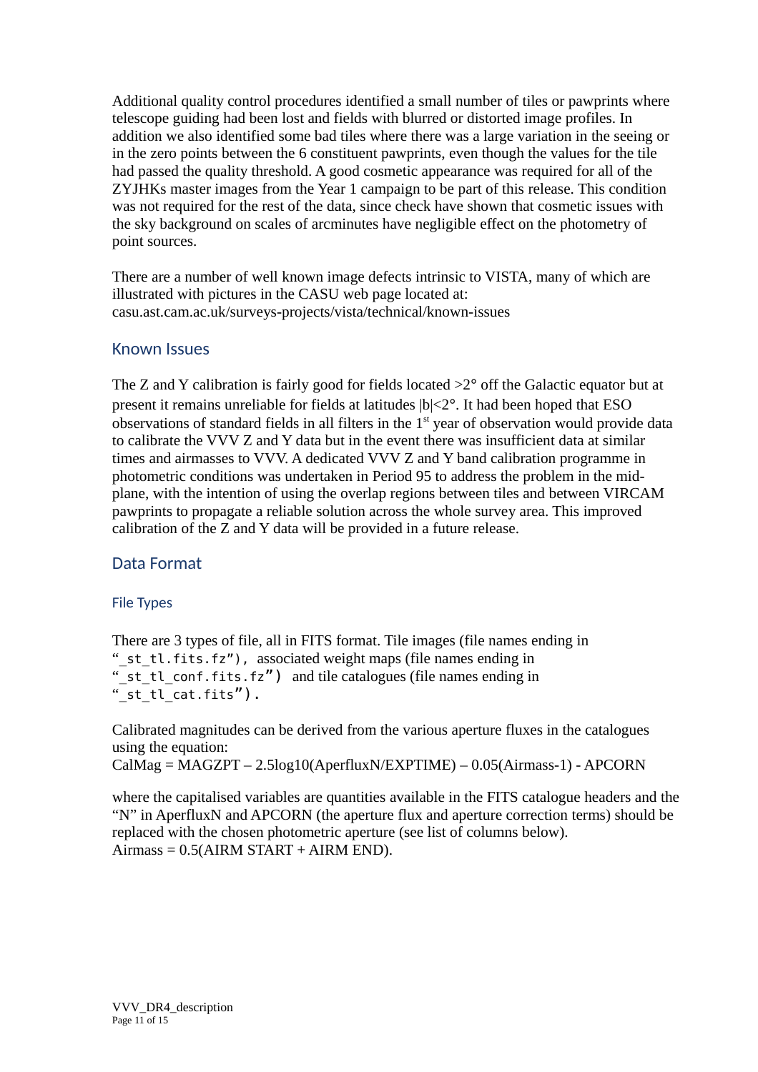Additional quality control procedures identified a small number of tiles or pawprints where telescope guiding had been lost and fields with blurred or distorted image profiles. In addition we also identified some bad tiles where there was a large variation in the seeing or in the zero points between the 6 constituent pawprints, even though the values for the tile had passed the quality threshold. A good cosmetic appearance was required for all of the ZYJHKs master images from the Year 1 campaign to be part of this release. This condition was not required for the rest of the data, since check have shown that cosmetic issues with the sky background on scales of arcminutes have negligible effect on the photometry of point sources.

There are a number of well known image defects intrinsic to VISTA, many of which are illustrated with pictures in the CASU web page located at: casu.ast.cam.ac.uk/surveys-projects/vista/technical/known-issues

### Known Issues

The Z and Y calibration is fairly good for fields located  $>2^{\circ}$  off the Galactic equator but at present it remains unreliable for fields at latitudes  $|b|<2^\circ$ . It had been hoped that ESO observations of standard fields in all filters in the  $1<sup>st</sup>$  year of observation would provide data to calibrate the VVV Z and Y data but in the event there was insufficient data at similar times and airmasses to VVV. A dedicated VVV Z and Y band calibration programme in photometric conditions was undertaken in Period 95 to address the problem in the midplane, with the intention of using the overlap regions between tiles and between VIRCAM pawprints to propagate a reliable solution across the whole survey area. This improved calibration of the Z and Y data will be provided in a future release.

### Data Format

#### File Types

There are 3 types of file, all in FITS format. Tile images (file names ending in "\_st\_tl.fits.fz"), associated weight maps (file names ending in " st tl conf.fits.fz") and tile catalogues (file names ending in " $\overline{st}$  tl cat.fits").

Calibrated magnitudes can be derived from the various aperture fluxes in the catalogues using the equation:

```
CalMag = MAGZPT – 2.5log10(AperfluxN/EXPTIME) – 0.05(Airmass-1) - APCORN
```
where the capitalised variables are quantities available in the FITS catalogue headers and the "N" in AperfluxN and APCORN (the aperture flux and aperture correction terms) should be replaced with the chosen photometric aperture (see list of columns below).  $Airmass = 0.5(AIRM START + AIRM END).$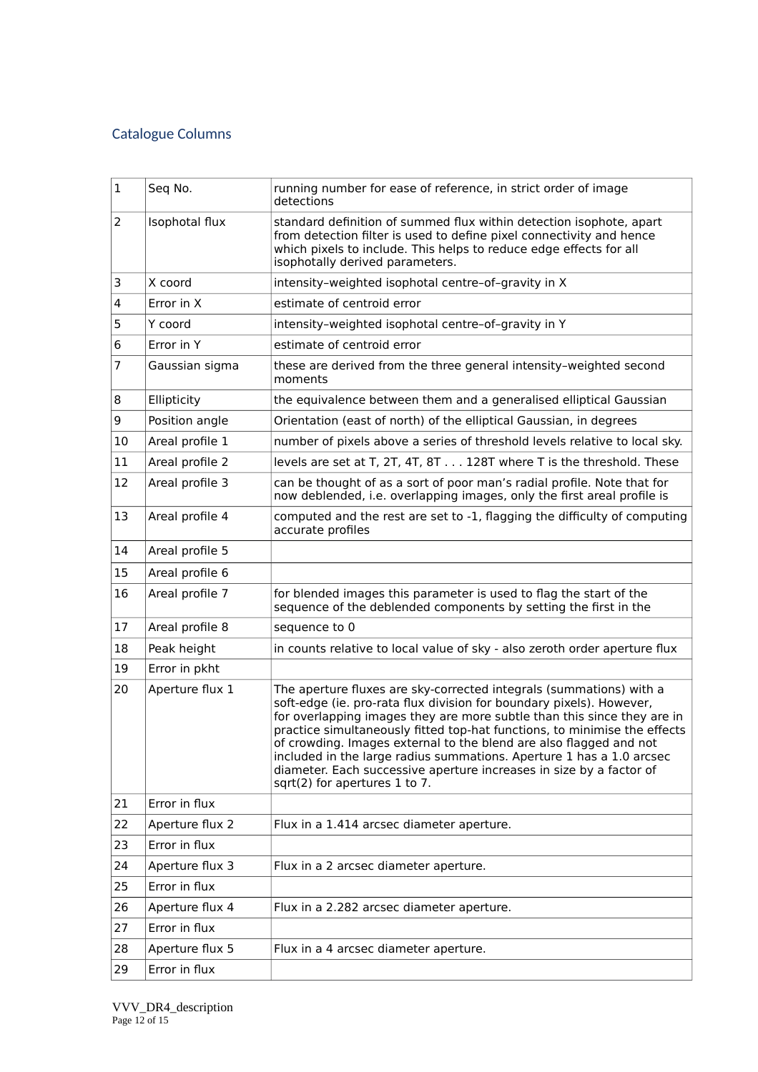# Catalogue Columns

| $\mathbf{1}$ | Seq No.         | running number for ease of reference, in strict order of image<br>detections                                                                                                                                                                                                                                                                                                                                                                                                                                                                              |
|--------------|-----------------|-----------------------------------------------------------------------------------------------------------------------------------------------------------------------------------------------------------------------------------------------------------------------------------------------------------------------------------------------------------------------------------------------------------------------------------------------------------------------------------------------------------------------------------------------------------|
| 2            | Isophotal flux  | standard definition of summed flux within detection isophote, apart<br>from detection filter is used to define pixel connectivity and hence<br>which pixels to include. This helps to reduce edge effects for all<br>isophotally derived parameters.                                                                                                                                                                                                                                                                                                      |
| 3            | X coord         | intensity-weighted isophotal centre-of-gravity in X                                                                                                                                                                                                                                                                                                                                                                                                                                                                                                       |
| 4            | Error in X      | estimate of centroid error                                                                                                                                                                                                                                                                                                                                                                                                                                                                                                                                |
| 5            | Y coord         | intensity-weighted isophotal centre-of-gravity in Y                                                                                                                                                                                                                                                                                                                                                                                                                                                                                                       |
| 6            | Error in Y      | estimate of centroid error                                                                                                                                                                                                                                                                                                                                                                                                                                                                                                                                |
| 7            | Gaussian sigma  | these are derived from the three general intensity-weighted second<br>moments                                                                                                                                                                                                                                                                                                                                                                                                                                                                             |
| 8            | Ellipticity     | the equivalence between them and a generalised elliptical Gaussian                                                                                                                                                                                                                                                                                                                                                                                                                                                                                        |
| 9            | Position angle  | Orientation (east of north) of the elliptical Gaussian, in degrees                                                                                                                                                                                                                                                                                                                                                                                                                                                                                        |
| 10           | Areal profile 1 | number of pixels above a series of threshold levels relative to local sky.                                                                                                                                                                                                                                                                                                                                                                                                                                                                                |
| 11           | Areal profile 2 | levels are set at T, 2T, 4T, 8T 128T where T is the threshold. These                                                                                                                                                                                                                                                                                                                                                                                                                                                                                      |
| 12           | Areal profile 3 | can be thought of as a sort of poor man's radial profile. Note that for<br>now deblended, i.e. overlapping images, only the first areal profile is                                                                                                                                                                                                                                                                                                                                                                                                        |
| 13           | Areal profile 4 | computed and the rest are set to -1, flagging the difficulty of computing<br>accurate profiles                                                                                                                                                                                                                                                                                                                                                                                                                                                            |
| 14           | Areal profile 5 |                                                                                                                                                                                                                                                                                                                                                                                                                                                                                                                                                           |
| 15           | Areal profile 6 |                                                                                                                                                                                                                                                                                                                                                                                                                                                                                                                                                           |
| 16           | Areal profile 7 | for blended images this parameter is used to flag the start of the<br>sequence of the deblended components by setting the first in the                                                                                                                                                                                                                                                                                                                                                                                                                    |
| 17           | Areal profile 8 | sequence to 0                                                                                                                                                                                                                                                                                                                                                                                                                                                                                                                                             |
| 18           | Peak height     | in counts relative to local value of sky - also zeroth order aperture flux                                                                                                                                                                                                                                                                                                                                                                                                                                                                                |
| 19           | Error in pkht   |                                                                                                                                                                                                                                                                                                                                                                                                                                                                                                                                                           |
| 20           | Aperture flux 1 | The aperture fluxes are sky-corrected integrals (summations) with a<br>soft-edge (ie. pro-rata flux division for boundary pixels). However,<br>for overlapping images they are more subtle than this since they are in<br>practice simultaneously fitted top-hat functions, to minimise the effects<br>of crowding. Images external to the blend are also flagged and not<br>included in the large radius summations. Aperture 1 has a 1.0 arcsec<br>diameter. Each successive aperture increases in size by a factor of<br>sqrt(2) for apertures 1 to 7. |
| 21           | Error in flux   |                                                                                                                                                                                                                                                                                                                                                                                                                                                                                                                                                           |
| 22           | Aperture flux 2 | Flux in a 1.414 arcsec diameter aperture.                                                                                                                                                                                                                                                                                                                                                                                                                                                                                                                 |
| 23           | Error in flux   |                                                                                                                                                                                                                                                                                                                                                                                                                                                                                                                                                           |
| 24           | Aperture flux 3 | Flux in a 2 arcsec diameter aperture.                                                                                                                                                                                                                                                                                                                                                                                                                                                                                                                     |
| 25           | Error in flux   |                                                                                                                                                                                                                                                                                                                                                                                                                                                                                                                                                           |
| 26           | Aperture flux 4 | Flux in a 2.282 arcsec diameter aperture.                                                                                                                                                                                                                                                                                                                                                                                                                                                                                                                 |
| 27           | Error in flux   |                                                                                                                                                                                                                                                                                                                                                                                                                                                                                                                                                           |
| 28           | Aperture flux 5 | Flux in a 4 arcsec diameter aperture.                                                                                                                                                                                                                                                                                                                                                                                                                                                                                                                     |
| 29           | Error in flux   |                                                                                                                                                                                                                                                                                                                                                                                                                                                                                                                                                           |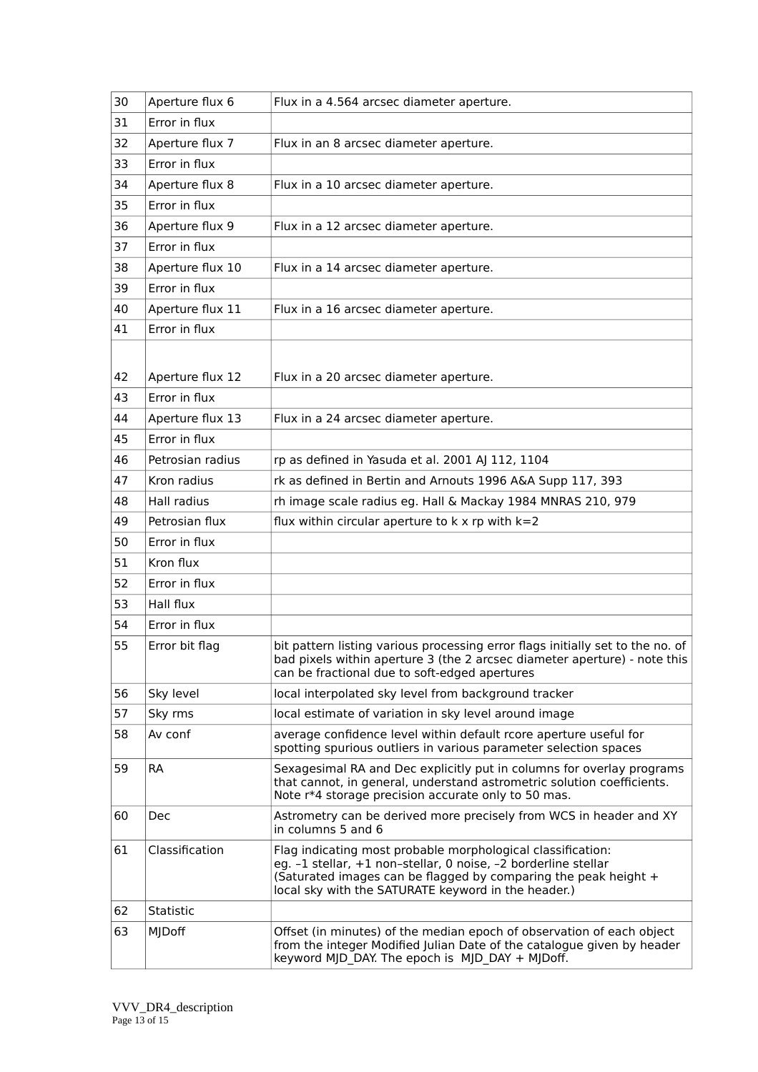| 30 | Aperture flux 6  | Flux in a 4.564 arcsec diameter aperture.                                                                                                                                                                                                               |
|----|------------------|---------------------------------------------------------------------------------------------------------------------------------------------------------------------------------------------------------------------------------------------------------|
| 31 | Error in flux    |                                                                                                                                                                                                                                                         |
| 32 | Aperture flux 7  | Flux in an 8 arcsec diameter aperture.                                                                                                                                                                                                                  |
| 33 | Error in flux    |                                                                                                                                                                                                                                                         |
| 34 | Aperture flux 8  | Flux in a 10 arcsec diameter aperture.                                                                                                                                                                                                                  |
| 35 | Error in flux    |                                                                                                                                                                                                                                                         |
| 36 | Aperture flux 9  | Flux in a 12 arcsec diameter aperture.                                                                                                                                                                                                                  |
| 37 | Error in flux    |                                                                                                                                                                                                                                                         |
| 38 | Aperture flux 10 | Flux in a 14 arcsec diameter aperture.                                                                                                                                                                                                                  |
| 39 | Error in flux    |                                                                                                                                                                                                                                                         |
| 40 | Aperture flux 11 | Flux in a 16 arcsec diameter aperture.                                                                                                                                                                                                                  |
| 41 | Error in flux    |                                                                                                                                                                                                                                                         |
|    |                  |                                                                                                                                                                                                                                                         |
| 42 | Aperture flux 12 | Flux in a 20 arcsec diameter aperture.                                                                                                                                                                                                                  |
| 43 | Error in flux    |                                                                                                                                                                                                                                                         |
| 44 | Aperture flux 13 | Flux in a 24 arcsec diameter aperture.                                                                                                                                                                                                                  |
| 45 | Error in flux    |                                                                                                                                                                                                                                                         |
| 46 | Petrosian radius | rp as defined in Yasuda et al. 2001 AJ 112, 1104                                                                                                                                                                                                        |
| 47 | Kron radius      | rk as defined in Bertin and Arnouts 1996 A&A Supp 117, 393                                                                                                                                                                                              |
| 48 | Hall radius      | rh image scale radius eg. Hall & Mackay 1984 MNRAS 210, 979                                                                                                                                                                                             |
| 49 | Petrosian flux   | flux within circular aperture to $k \times rp$ with $k=2$                                                                                                                                                                                               |
| 50 | Error in flux    |                                                                                                                                                                                                                                                         |
| 51 | Kron flux        |                                                                                                                                                                                                                                                         |
| 52 | Error in flux    |                                                                                                                                                                                                                                                         |
| 53 | Hall flux        |                                                                                                                                                                                                                                                         |
| 54 | Error in flux    |                                                                                                                                                                                                                                                         |
| 55 | Error bit flag   | bit pattern listing various processing error flags initially set to the no. of<br>bad pixels within aperture 3 (the 2 arcsec diameter aperture) - note this<br>can be fractional due to soft-edged apertures                                            |
| 56 | Sky level        | local interpolated sky level from background tracker                                                                                                                                                                                                    |
| 57 | Sky rms          | local estimate of variation in sky level around image                                                                                                                                                                                                   |
| 58 | Av conf          | average confidence level within default rcore aperture useful for<br>spotting spurious outliers in various parameter selection spaces                                                                                                                   |
| 59 | <b>RA</b>        | Sexagesimal RA and Dec explicitly put in columns for overlay programs<br>that cannot, in general, understand astrometric solution coefficients.<br>Note r*4 storage precision accurate only to 50 mas.                                                  |
| 60 | Dec              | Astrometry can be derived more precisely from WCS in header and XY<br>in columns 5 and 6                                                                                                                                                                |
| 61 | Classification   | Flag indicating most probable morphological classification:<br>eg. -1 stellar, +1 non-stellar, 0 noise, -2 borderline stellar<br>(Saturated images can be flagged by comparing the peak height +<br>local sky with the SATURATE keyword in the header.) |
| 62 | Statistic        |                                                                                                                                                                                                                                                         |
| 63 | MJDoff           | Offset (in minutes) of the median epoch of observation of each object<br>from the integer Modified Julian Date of the catalogue given by header<br>keyword MJD_DAY. The epoch is MJD_DAY + MJDoff.                                                      |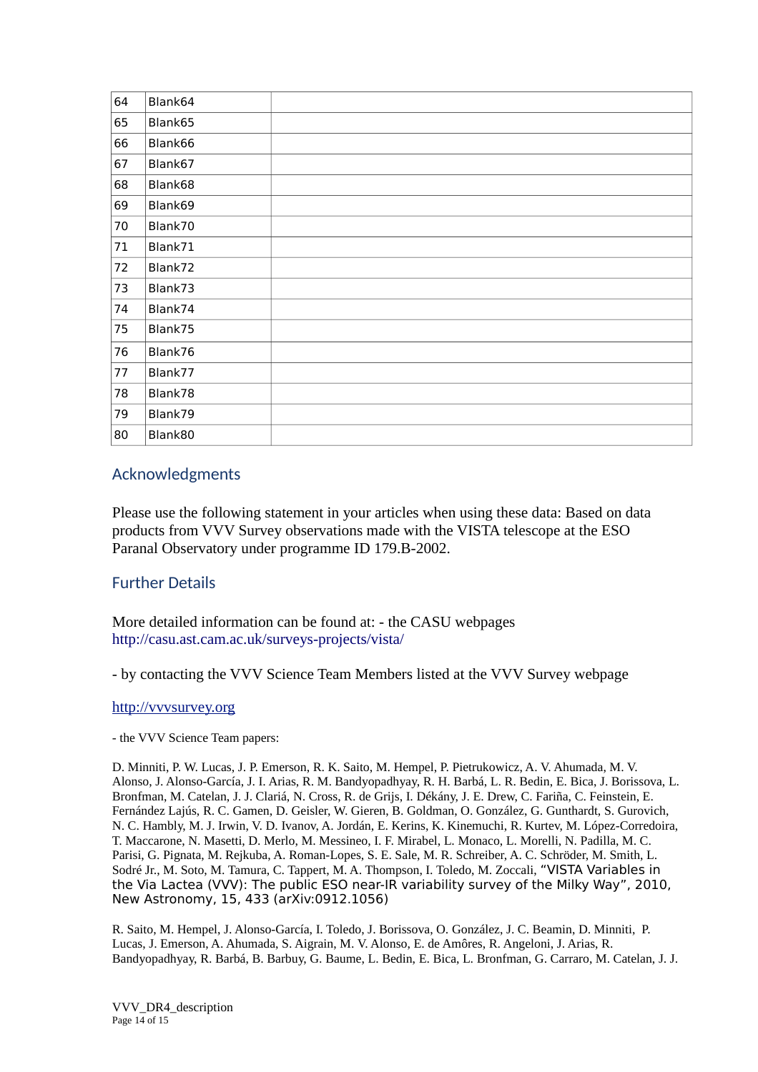| 64 | Blank64 |  |
|----|---------|--|
| 65 | Blank65 |  |
| 66 | Blank66 |  |
| 67 | Blank67 |  |
| 68 | Blank68 |  |
| 69 | Blank69 |  |
| 70 | Blank70 |  |
| 71 | Blank71 |  |
| 72 | Blank72 |  |
| 73 | Blank73 |  |
| 74 | Blank74 |  |
| 75 | Blank75 |  |
| 76 | Blank76 |  |
| 77 | Blank77 |  |
| 78 | Blank78 |  |
| 79 | Blank79 |  |
| 80 | Blank80 |  |

#### Acknowledgments

Please use the following statement in your articles when using these data: Based on data products from VVV Survey observations made with the VISTA telescope at the ESO Paranal Observatory under programme ID 179.B-2002.

#### Further Details

More detailed information can be found at: - the CASU webpages http://casu.ast.cam.ac.uk/surveys-projects/vista/

- by contacting the VVV Science Team Members listed at the VVV Survey webpage

#### [http://vvvsurvey.org](http://vvvsurvey.org/)

- the VVV Science Team papers:

D. Minniti, P. W. Lucas, J. P. Emerson, R. K. Saito, M. Hempel, P. Pietrukowicz, A. V. Ahumada, M. V. Alonso, J. Alonso-García, J. I. Arias, R. M. Bandyopadhyay, R. H. Barbá, L. R. Bedin, E. Bica, J. Borissova, L. Bronfman, M. Catelan, J. J. Clariá, N. Cross, R. de Grijs, I. Dékány, J. E. Drew, C. Fariña, C. Feinstein, E. Fernández Lajús, R. C. Gamen, D. Geisler, W. Gieren, B. Goldman, O. González, G. Gunthardt, S. Gurovich, N. C. Hambly, M. J. Irwin, V. D. Ivanov, A. Jordán, E. Kerins, K. Kinemuchi, R. Kurtev, M. López-Corredoira, T. Maccarone, N. Masetti, D. Merlo, M. Messineo, I. F. Mirabel, L. Monaco, L. Morelli, N. Padilla, M. C. Parisi, G. Pignata, M. Rejkuba, A. Roman-Lopes, S. E. Sale, M. R. Schreiber, A. C. Schröder, M. Smith, L. Sodré Jr., M. Soto, M. Tamura, C. Tappert, M. A. Thompson, I. Toledo, M. Zoccali, "VISTA Variables in the Via Lactea (VVV): The public ESO near-IR variability survey of the Milky Way", 2010, New Astronomy, 15, 433 (arXiv:0912.1056)

R. Saito, M. Hempel, J. Alonso-García, I. Toledo, J. Borissova, O. González, J. C. Beamin, D. Minniti, P. Lucas, J. Emerson, A. Ahumada, S. Aigrain, M. V. Alonso, E. de Amôres, R. Angeloni, J. Arias, R. Bandyopadhyay, R. Barbá, B. Barbuy, G. Baume, L. Bedin, E. Bica, L. Bronfman, G. Carraro, M. Catelan, J. J.